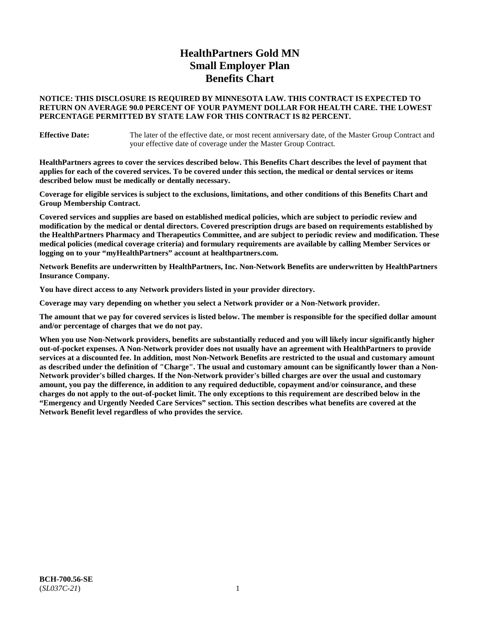# **HealthPartners Gold MN Small Employer Plan Benefits Chart**

### **NOTICE: THIS DISCLOSURE IS REQUIRED BY MINNESOTA LAW. THIS CONTRACT IS EXPECTED TO RETURN ON AVERAGE 90.0 PERCENT OF YOUR PAYMENT DOLLAR FOR HEALTH CARE. THE LOWEST PERCENTAGE PERMITTED BY STATE LAW FOR THIS CONTRACT IS 82 PERCENT.**

**Effective Date:** The later of the effective date, or most recent anniversary date, of the Master Group Contract and your effective date of coverage under the Master Group Contract.

**HealthPartners agrees to cover the services described below. This Benefits Chart describes the level of payment that applies for each of the covered services. To be covered under this section, the medical or dental services or items described below must be medically or dentally necessary.**

**Coverage for eligible services is subject to the exclusions, limitations, and other conditions of this Benefits Chart and Group Membership Contract.**

**Covered services and supplies are based on established medical policies, which are subject to periodic review and modification by the medical or dental directors. Covered prescription drugs are based on requirements established by the HealthPartners Pharmacy and Therapeutics Committee, and are subject to periodic review and modification. These medical policies (medical coverage criteria) and formulary requirements are available by calling Member Services or logging on to your "myHealthPartners" account at [healthpartners.com.](https://www.healthpartners.com/hp/index.html)**

**Network Benefits are underwritten by HealthPartners, Inc. Non-Network Benefits are underwritten by HealthPartners Insurance Company.** 

**You have direct access to any Network providers listed in your provider directory.**

**Coverage may vary depending on whether you select a Network provider or a Non-Network provider.**

**The amount that we pay for covered services is listed below. The member is responsible for the specified dollar amount and/or percentage of charges that we do not pay.**

**When you use Non-Network providers, benefits are substantially reduced and you will likely incur significantly higher out-of-pocket expenses. A Non-Network provider does not usually have an agreement with HealthPartners to provide services at a discounted fee. In addition, most Non-Network Benefits are restricted to the usual and customary amount as described under the definition of "Charge". The usual and customary amount can be significantly lower than a Non-Network provider's billed charges. If the Non-Network provider's billed charges are over the usual and customary amount, you pay the difference, in addition to any required deductible, copayment and/or coinsurance, and these charges do not apply to the out-of-pocket limit. The only exceptions to this requirement are described below in the "Emergency and Urgently Needed Care Services" section. This section describes what benefits are covered at the Network Benefit level regardless of who provides the service.**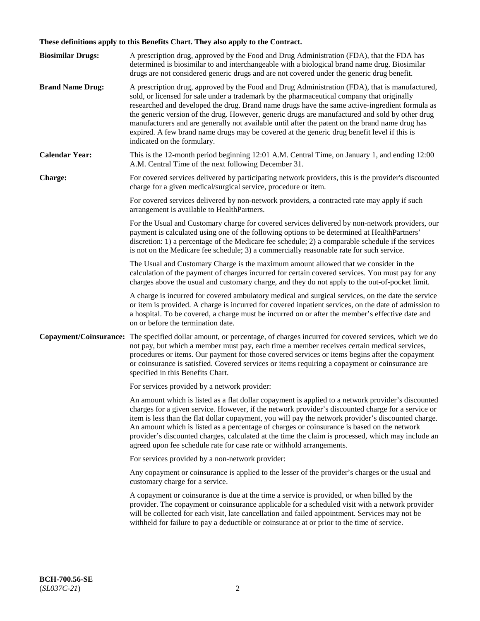# **These definitions apply to this Benefits Chart. They also apply to the Contract.**

| <b>Biosimilar Drugs:</b> | A prescription drug, approved by the Food and Drug Administration (FDA), that the FDA has<br>determined is biosimilar to and interchangeable with a biological brand name drug. Biosimilar<br>drugs are not considered generic drugs and are not covered under the generic drug benefit.                                                                                                                                                                                                                                                                                                                                           |
|--------------------------|------------------------------------------------------------------------------------------------------------------------------------------------------------------------------------------------------------------------------------------------------------------------------------------------------------------------------------------------------------------------------------------------------------------------------------------------------------------------------------------------------------------------------------------------------------------------------------------------------------------------------------|
| <b>Brand Name Drug:</b>  | A prescription drug, approved by the Food and Drug Administration (FDA), that is manufactured,<br>sold, or licensed for sale under a trademark by the pharmaceutical company that originally<br>researched and developed the drug. Brand name drugs have the same active-ingredient formula as<br>the generic version of the drug. However, generic drugs are manufactured and sold by other drug<br>manufacturers and are generally not available until after the patent on the brand name drug has<br>expired. A few brand name drugs may be covered at the generic drug benefit level if this is<br>indicated on the formulary. |
| <b>Calendar Year:</b>    | This is the 12-month period beginning 12:01 A.M. Central Time, on January 1, and ending 12:00<br>A.M. Central Time of the next following December 31.                                                                                                                                                                                                                                                                                                                                                                                                                                                                              |
| <b>Charge:</b>           | For covered services delivered by participating network providers, this is the provider's discounted<br>charge for a given medical/surgical service, procedure or item.                                                                                                                                                                                                                                                                                                                                                                                                                                                            |
|                          | For covered services delivered by non-network providers, a contracted rate may apply if such<br>arrangement is available to HealthPartners.                                                                                                                                                                                                                                                                                                                                                                                                                                                                                        |
|                          | For the Usual and Customary charge for covered services delivered by non-network providers, our<br>payment is calculated using one of the following options to be determined at HealthPartners'<br>discretion: 1) a percentage of the Medicare fee schedule; 2) a comparable schedule if the services<br>is not on the Medicare fee schedule; 3) a commercially reasonable rate for such service.                                                                                                                                                                                                                                  |
|                          | The Usual and Customary Charge is the maximum amount allowed that we consider in the<br>calculation of the payment of charges incurred for certain covered services. You must pay for any<br>charges above the usual and customary charge, and they do not apply to the out-of-pocket limit.                                                                                                                                                                                                                                                                                                                                       |
|                          | A charge is incurred for covered ambulatory medical and surgical services, on the date the service<br>or item is provided. A charge is incurred for covered inpatient services, on the date of admission to<br>a hospital. To be covered, a charge must be incurred on or after the member's effective date and<br>on or before the termination date.                                                                                                                                                                                                                                                                              |
| Copayment/Coinsurance:   | The specified dollar amount, or percentage, of charges incurred for covered services, which we do<br>not pay, but which a member must pay, each time a member receives certain medical services,<br>procedures or items. Our payment for those covered services or items begins after the copayment<br>or coinsurance is satisfied. Covered services or items requiring a copayment or coinsurance are<br>specified in this Benefits Chart.                                                                                                                                                                                        |
|                          | For services provided by a network provider:                                                                                                                                                                                                                                                                                                                                                                                                                                                                                                                                                                                       |
|                          | An amount which is listed as a flat dollar copayment is applied to a network provider's discounted<br>charges for a given service. However, if the network provider's discounted charge for a service or<br>item is less than the flat dollar copayment, you will pay the network provider's discounted charge.<br>An amount which is listed as a percentage of charges or coinsurance is based on the network<br>provider's discounted charges, calculated at the time the claim is processed, which may include an<br>agreed upon fee schedule rate for case rate or withhold arrangements.                                      |
|                          | For services provided by a non-network provider:                                                                                                                                                                                                                                                                                                                                                                                                                                                                                                                                                                                   |
|                          | Any copayment or coinsurance is applied to the lesser of the provider's charges or the usual and<br>customary charge for a service.                                                                                                                                                                                                                                                                                                                                                                                                                                                                                                |
|                          | A copayment or coinsurance is due at the time a service is provided, or when billed by the<br>provider. The copayment or coinsurance applicable for a scheduled visit with a network provider<br>will be collected for each visit, late cancellation and failed appointment. Services may not be<br>withheld for failure to pay a deductible or coinsurance at or prior to the time of service.                                                                                                                                                                                                                                    |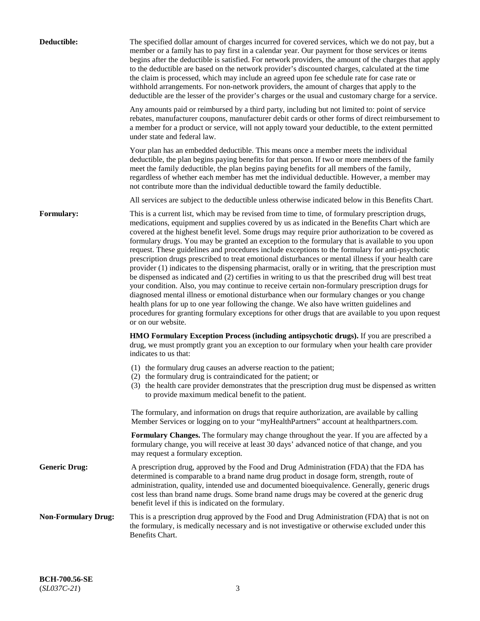| Deductible:                | The specified dollar amount of charges incurred for covered services, which we do not pay, but a<br>member or a family has to pay first in a calendar year. Our payment for those services or items<br>begins after the deductible is satisfied. For network providers, the amount of the charges that apply<br>to the deductible are based on the network provider's discounted charges, calculated at the time<br>the claim is processed, which may include an agreed upon fee schedule rate for case rate or<br>withhold arrangements. For non-network providers, the amount of charges that apply to the<br>deductible are the lesser of the provider's charges or the usual and customary charge for a service.                                                                                                                                                                                                                                                                                                                                                                                                                                                                                                                                             |
|----------------------------|------------------------------------------------------------------------------------------------------------------------------------------------------------------------------------------------------------------------------------------------------------------------------------------------------------------------------------------------------------------------------------------------------------------------------------------------------------------------------------------------------------------------------------------------------------------------------------------------------------------------------------------------------------------------------------------------------------------------------------------------------------------------------------------------------------------------------------------------------------------------------------------------------------------------------------------------------------------------------------------------------------------------------------------------------------------------------------------------------------------------------------------------------------------------------------------------------------------------------------------------------------------|
|                            | Any amounts paid or reimbursed by a third party, including but not limited to: point of service<br>rebates, manufacturer coupons, manufacturer debit cards or other forms of direct reimbursement to<br>a member for a product or service, will not apply toward your deductible, to the extent permitted<br>under state and federal law.                                                                                                                                                                                                                                                                                                                                                                                                                                                                                                                                                                                                                                                                                                                                                                                                                                                                                                                        |
|                            | Your plan has an embedded deductible. This means once a member meets the individual<br>deductible, the plan begins paying benefits for that person. If two or more members of the family<br>meet the family deductible, the plan begins paying benefits for all members of the family,<br>regardless of whether each member has met the individual deductible. However, a member may<br>not contribute more than the individual deductible toward the family deductible.                                                                                                                                                                                                                                                                                                                                                                                                                                                                                                                                                                                                                                                                                                                                                                                         |
|                            | All services are subject to the deductible unless otherwise indicated below in this Benefits Chart.                                                                                                                                                                                                                                                                                                                                                                                                                                                                                                                                                                                                                                                                                                                                                                                                                                                                                                                                                                                                                                                                                                                                                              |
| Formulary:                 | This is a current list, which may be revised from time to time, of formulary prescription drugs,<br>medications, equipment and supplies covered by us as indicated in the Benefits Chart which are<br>covered at the highest benefit level. Some drugs may require prior authorization to be covered as<br>formulary drugs. You may be granted an exception to the formulary that is available to you upon<br>request. These guidelines and procedures include exceptions to the formulary for anti-psychotic<br>prescription drugs prescribed to treat emotional disturbances or mental illness if your health care<br>provider (1) indicates to the dispensing pharmacist, orally or in writing, that the prescription must<br>be dispensed as indicated and (2) certifies in writing to us that the prescribed drug will best treat<br>your condition. Also, you may continue to receive certain non-formulary prescription drugs for<br>diagnosed mental illness or emotional disturbance when our formulary changes or you change<br>health plans for up to one year following the change. We also have written guidelines and<br>procedures for granting formulary exceptions for other drugs that are available to you upon request<br>or on our website. |
|                            | <b>HMO Formulary Exception Process (including antipsychotic drugs).</b> If you are prescribed a<br>drug, we must promptly grant you an exception to our formulary when your health care provider<br>indicates to us that:                                                                                                                                                                                                                                                                                                                                                                                                                                                                                                                                                                                                                                                                                                                                                                                                                                                                                                                                                                                                                                        |
|                            | (1) the formulary drug causes an adverse reaction to the patient;<br>(2) the formulary drug is contraindicated for the patient; or<br>(3) the health care provider demonstrates that the prescription drug must be dispensed as written<br>to provide maximum medical benefit to the patient.                                                                                                                                                                                                                                                                                                                                                                                                                                                                                                                                                                                                                                                                                                                                                                                                                                                                                                                                                                    |
|                            | The formulary, and information on drugs that require authorization, are available by calling<br>Member Services or logging on to your "myHealthPartners" account at healthpartners.com.                                                                                                                                                                                                                                                                                                                                                                                                                                                                                                                                                                                                                                                                                                                                                                                                                                                                                                                                                                                                                                                                          |
|                            | Formulary Changes. The formulary may change throughout the year. If you are affected by a<br>formulary change, you will receive at least 30 days' advanced notice of that change, and you<br>may request a formulary exception.                                                                                                                                                                                                                                                                                                                                                                                                                                                                                                                                                                                                                                                                                                                                                                                                                                                                                                                                                                                                                                  |
| <b>Generic Drug:</b>       | A prescription drug, approved by the Food and Drug Administration (FDA) that the FDA has<br>determined is comparable to a brand name drug product in dosage form, strength, route of<br>administration, quality, intended use and documented bioequivalence. Generally, generic drugs<br>cost less than brand name drugs. Some brand name drugs may be covered at the generic drug<br>benefit level if this is indicated on the formulary.                                                                                                                                                                                                                                                                                                                                                                                                                                                                                                                                                                                                                                                                                                                                                                                                                       |
| <b>Non-Formulary Drug:</b> | This is a prescription drug approved by the Food and Drug Administration (FDA) that is not on<br>the formulary, is medically necessary and is not investigative or otherwise excluded under this<br>Benefits Chart.                                                                                                                                                                                                                                                                                                                                                                                                                                                                                                                                                                                                                                                                                                                                                                                                                                                                                                                                                                                                                                              |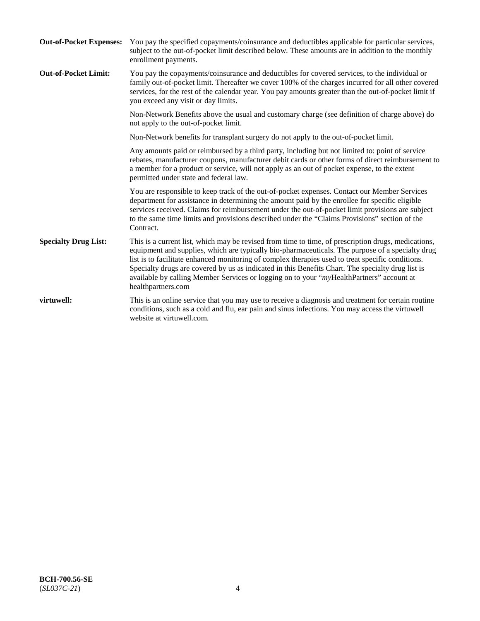| <b>Out-of-Pocket Expenses:</b> | You pay the specified copayments/coinsurance and deductibles applicable for particular services,<br>subject to the out-of-pocket limit described below. These amounts are in addition to the monthly<br>enrollment payments.                                                                                                                                                                                                                                                                                                        |
|--------------------------------|-------------------------------------------------------------------------------------------------------------------------------------------------------------------------------------------------------------------------------------------------------------------------------------------------------------------------------------------------------------------------------------------------------------------------------------------------------------------------------------------------------------------------------------|
| <b>Out-of-Pocket Limit:</b>    | You pay the copayments/coinsurance and deductibles for covered services, to the individual or<br>family out-of-pocket limit. Thereafter we cover 100% of the charges incurred for all other covered<br>services, for the rest of the calendar year. You pay amounts greater than the out-of-pocket limit if<br>you exceed any visit or day limits.                                                                                                                                                                                  |
|                                | Non-Network Benefits above the usual and customary charge (see definition of charge above) do<br>not apply to the out-of-pocket limit.                                                                                                                                                                                                                                                                                                                                                                                              |
|                                | Non-Network benefits for transplant surgery do not apply to the out-of-pocket limit.                                                                                                                                                                                                                                                                                                                                                                                                                                                |
|                                | Any amounts paid or reimbursed by a third party, including but not limited to: point of service<br>rebates, manufacturer coupons, manufacturer debit cards or other forms of direct reimbursement to<br>a member for a product or service, will not apply as an out of pocket expense, to the extent<br>permitted under state and federal law.                                                                                                                                                                                      |
|                                | You are responsible to keep track of the out-of-pocket expenses. Contact our Member Services<br>department for assistance in determining the amount paid by the enrollee for specific eligible<br>services received. Claims for reimbursement under the out-of-pocket limit provisions are subject<br>to the same time limits and provisions described under the "Claims Provisions" section of the<br>Contract.                                                                                                                    |
| <b>Specialty Drug List:</b>    | This is a current list, which may be revised from time to time, of prescription drugs, medications,<br>equipment and supplies, which are typically bio-pharmaceuticals. The purpose of a specialty drug<br>list is to facilitate enhanced monitoring of complex therapies used to treat specific conditions.<br>Specialty drugs are covered by us as indicated in this Benefits Chart. The specialty drug list is<br>available by calling Member Services or logging on to your "myHealthPartners" account at<br>healthpartners.com |
| virtuwell:                     | This is an online service that you may use to receive a diagnosis and treatment for certain routine<br>conditions, such as a cold and flu, ear pain and sinus infections. You may access the virtuwell<br>website at virtuwell.com.                                                                                                                                                                                                                                                                                                 |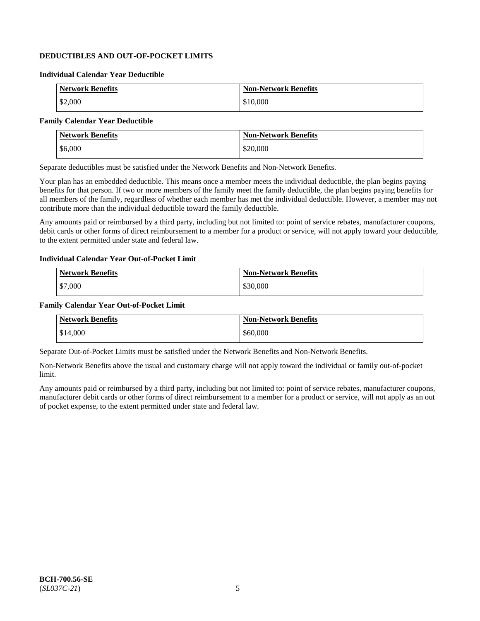## **DEDUCTIBLES AND OUT-OF-POCKET LIMITS**

#### **Individual Calendar Year Deductible**

| <b>Network Benefits</b> | <b>Non-Network Benefits</b> |
|-------------------------|-----------------------------|
| \$2,000                 | \$10,000                    |

### **Family Calendar Year Deductible**

| <b>Network Benefits</b> | <b>Non-Network Benefits</b> |
|-------------------------|-----------------------------|
| \$6,000                 | \$20,000                    |

Separate deductibles must be satisfied under the Network Benefits and Non-Network Benefits.

Your plan has an embedded deductible. This means once a member meets the individual deductible, the plan begins paying benefits for that person. If two or more members of the family meet the family deductible, the plan begins paying benefits for all members of the family, regardless of whether each member has met the individual deductible. However, a member may not contribute more than the individual deductible toward the family deductible.

Any amounts paid or reimbursed by a third party, including but not limited to: point of service rebates, manufacturer coupons, debit cards or other forms of direct reimbursement to a member for a product or service, will not apply toward your deductible, to the extent permitted under state and federal law.

#### **Individual Calendar Year Out-of-Pocket Limit**

| <b>Network Benefits</b> | <b>Non-Network Benefits</b> |
|-------------------------|-----------------------------|
| \$7,000                 | \$30,000                    |

#### **Family Calendar Year Out-of-Pocket Limit**

| <b>Network Benefits</b> | <b>Non-Network Benefits</b> |
|-------------------------|-----------------------------|
| \$14,000                | \$60,000                    |

Separate Out-of-Pocket Limits must be satisfied under the Network Benefits and Non-Network Benefits.

Non-Network Benefits above the usual and customary charge will not apply toward the individual or family out-of-pocket limit.

Any amounts paid or reimbursed by a third party, including but not limited to: point of service rebates, manufacturer coupons, manufacturer debit cards or other forms of direct reimbursement to a member for a product or service, will not apply as an out of pocket expense, to the extent permitted under state and federal law.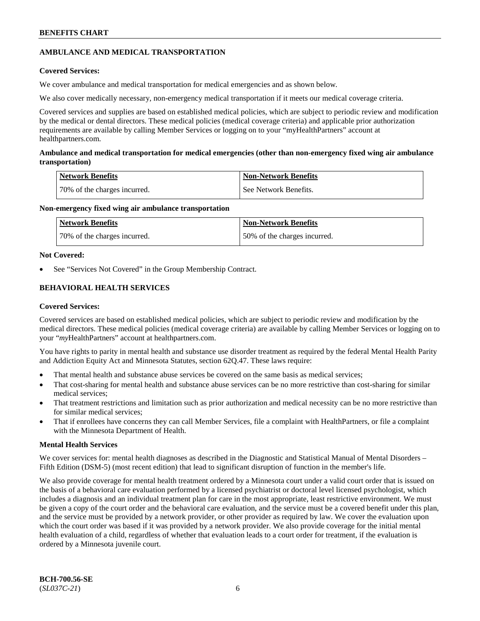## **AMBULANCE AND MEDICAL TRANSPORTATION**

### **Covered Services:**

We cover ambulance and medical transportation for medical emergencies and as shown below.

We also cover medically necessary, non-emergency medical transportation if it meets our medical coverage criteria.

Covered services and supplies are based on established medical policies, which are subject to periodic review and modification by the medical or dental directors. These medical policies (medical coverage criteria) and applicable prior authorization requirements are available by calling Member Services or logging on to your "myHealthPartners" account at [healthpartners.com.](https://www.healthpartners.com/hp/index.html)

### **Ambulance and medical transportation for medical emergencies (other than non-emergency fixed wing air ambulance transportation)**

| Network Benefits             | <b>Non-Network Benefits</b> |
|------------------------------|-----------------------------|
| 70% of the charges incurred. | See Network Benefits.       |

### **Non-emergency fixed wing air ambulance transportation**

| Network Benefits             | <b>Non-Network Benefits</b>  |
|------------------------------|------------------------------|
| 70% of the charges incurred. | 50% of the charges incurred. |

### **Not Covered:**

See "Services Not Covered" in the Group Membership Contract.

## **BEHAVIORAL HEALTH SERVICES**

### **Covered Services:**

Covered services are based on established medical policies, which are subject to periodic review and modification by the medical directors. These medical policies (medical coverage criteria) are available by calling Member Services or logging on to your "*my*HealthPartners" account at [healthpartners.com.](http://www.healthpartners.com/)

You have rights to parity in mental health and substance use disorder treatment as required by the federal Mental Health Parity and Addiction Equity Act and Minnesota Statutes, section 62Q.47. These laws require:

- That mental health and substance abuse services be covered on the same basis as medical services;
- That cost-sharing for mental health and substance abuse services can be no more restrictive than cost-sharing for similar medical services;
- That treatment restrictions and limitation such as prior authorization and medical necessity can be no more restrictive than for similar medical services;
- That if enrollees have concerns they can call Member Services, file a complaint with HealthPartners, or file a complaint with the Minnesota Department of Health.

### **Mental Health Services**

We cover services for: mental health diagnoses as described in the Diagnostic and Statistical Manual of Mental Disorders – Fifth Edition (DSM-5) (most recent edition) that lead to significant disruption of function in the member's life.

We also provide coverage for mental health treatment ordered by a Minnesota court under a valid court order that is issued on the basis of a behavioral care evaluation performed by a licensed psychiatrist or doctoral level licensed psychologist, which includes a diagnosis and an individual treatment plan for care in the most appropriate, least restrictive environment. We must be given a copy of the court order and the behavioral care evaluation, and the service must be a covered benefit under this plan, and the service must be provided by a network provider, or other provider as required by law. We cover the evaluation upon which the court order was based if it was provided by a network provider. We also provide coverage for the initial mental health evaluation of a child, regardless of whether that evaluation leads to a court order for treatment, if the evaluation is ordered by a Minnesota juvenile court.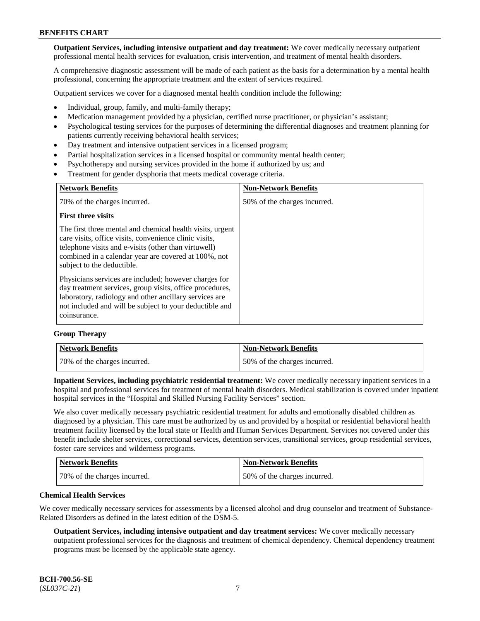**Outpatient Services, including intensive outpatient and day treatment:** We cover medically necessary outpatient professional mental health services for evaluation, crisis intervention, and treatment of mental health disorders.

A comprehensive diagnostic assessment will be made of each patient as the basis for a determination by a mental health professional, concerning the appropriate treatment and the extent of services required.

Outpatient services we cover for a diagnosed mental health condition include the following:

- Individual, group, family, and multi-family therapy;
- Medication management provided by a physician, certified nurse practitioner, or physician's assistant;
- Psychological testing services for the purposes of determining the differential diagnoses and treatment planning for patients currently receiving behavioral health services;
- Day treatment and intensive outpatient services in a licensed program;
- Partial hospitalization services in a licensed hospital or community mental health center;
- Psychotherapy and nursing services provided in the home if authorized by us; and
- Treatment for gender dysphoria that meets medical coverage criteria.

| <b>Network Benefits</b>                                                                                                                                                                                                                                           | <b>Non-Network Benefits</b>  |
|-------------------------------------------------------------------------------------------------------------------------------------------------------------------------------------------------------------------------------------------------------------------|------------------------------|
| 70% of the charges incurred.                                                                                                                                                                                                                                      | 50% of the charges incurred. |
| <b>First three visits</b>                                                                                                                                                                                                                                         |                              |
| The first three mental and chemical health visits, urgent<br>care visits, office visits, convenience clinic visits,<br>telephone visits and e-visits (other than virtuwell)<br>combined in a calendar year are covered at 100%, not<br>subject to the deductible. |                              |
| Physicians services are included; however charges for<br>day treatment services, group visits, office procedures,<br>laboratory, radiology and other ancillary services are<br>not included and will be subject to your deductible and<br>coinsurance.            |                              |

#### **Group Therapy**

| Network Benefits             | <b>Non-Network Benefits</b>  |
|------------------------------|------------------------------|
| 70% of the charges incurred. | 50% of the charges incurred. |

**Inpatient Services, including psychiatric residential treatment:** We cover medically necessary inpatient services in a hospital and professional services for treatment of mental health disorders. Medical stabilization is covered under inpatient hospital services in the "Hospital and Skilled Nursing Facility Services" section.

We also cover medically necessary psychiatric residential treatment for adults and emotionally disabled children as diagnosed by a physician. This care must be authorized by us and provided by a hospital or residential behavioral health treatment facility licensed by the local state or Health and Human Services Department. Services not covered under this benefit include shelter services, correctional services, detention services, transitional services, group residential services, foster care services and wilderness programs.

| <b>Network Benefits</b>      | <b>Non-Network Benefits</b>  |
|------------------------------|------------------------------|
| 70% of the charges incurred. | 50% of the charges incurred. |

#### **Chemical Health Services**

We cover medically necessary services for assessments by a licensed alcohol and drug counselor and treatment of Substance-Related Disorders as defined in the latest edition of the DSM-5.

**Outpatient Services, including intensive outpatient and day treatment services:** We cover medically necessary outpatient professional services for the diagnosis and treatment of chemical dependency. Chemical dependency treatment programs must be licensed by the applicable state agency.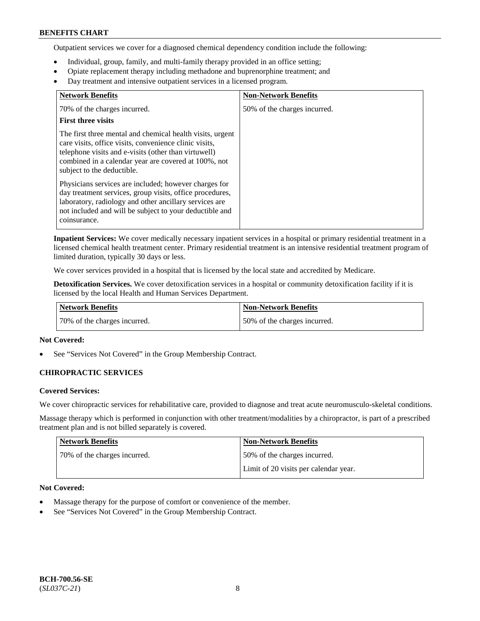Outpatient services we cover for a diagnosed chemical dependency condition include the following:

- Individual, group, family, and multi-family therapy provided in an office setting;
- Opiate replacement therapy including methadone and buprenorphine treatment; and
- Day treatment and intensive outpatient services in a licensed program.

| <b>Network Benefits</b>                                                                                                                                                                                                                                           | <b>Non-Network Benefits</b>  |
|-------------------------------------------------------------------------------------------------------------------------------------------------------------------------------------------------------------------------------------------------------------------|------------------------------|
| 70% of the charges incurred.                                                                                                                                                                                                                                      | 50% of the charges incurred. |
| <b>First three visits</b>                                                                                                                                                                                                                                         |                              |
| The first three mental and chemical health visits, urgent<br>care visits, office visits, convenience clinic visits,<br>telephone visits and e-visits (other than virtuwell)<br>combined in a calendar year are covered at 100%, not<br>subject to the deductible. |                              |
| Physicians services are included; however charges for<br>day treatment services, group visits, office procedures,<br>laboratory, radiology and other ancillary services are<br>not included and will be subject to your deductible and<br>coinsurance.            |                              |

**Inpatient Services:** We cover medically necessary inpatient services in a hospital or primary residential treatment in a licensed chemical health treatment center. Primary residential treatment is an intensive residential treatment program of limited duration, typically 30 days or less.

We cover services provided in a hospital that is licensed by the local state and accredited by Medicare.

**Detoxification Services.** We cover detoxification services in a hospital or community detoxification facility if it is licensed by the local Health and Human Services Department.

| Network Benefits             | Non-Network Benefits         |
|------------------------------|------------------------------|
| 70% of the charges incurred. | 50% of the charges incurred. |

### **Not Covered:**

See "Services Not Covered" in the Group Membership Contract.

### **CHIROPRACTIC SERVICES**

### **Covered Services:**

We cover chiropractic services for rehabilitative care, provided to diagnose and treat acute neuromusculo-skeletal conditions.

Massage therapy which is performed in conjunction with other treatment/modalities by a chiropractor, is part of a prescribed treatment plan and is not billed separately is covered.

| <b>Network Benefits</b>      | <b>Non-Network Benefits</b>           |
|------------------------------|---------------------------------------|
| 70% of the charges incurred. | 50% of the charges incurred.          |
|                              | Limit of 20 visits per calendar year. |

### **Not Covered:**

- Massage therapy for the purpose of comfort or convenience of the member.
- See "Services Not Covered" in the Group Membership Contract.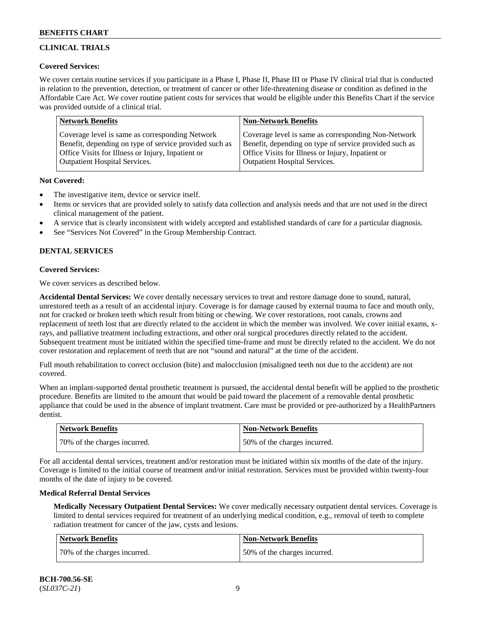## **CLINICAL TRIALS**

### **Covered Services:**

We cover certain routine services if you participate in a Phase I, Phase II, Phase III or Phase IV clinical trial that is conducted in relation to the prevention, detection, or treatment of cancer or other life-threatening disease or condition as defined in the Affordable Care Act. We cover routine patient costs for services that would be eligible under this Benefits Chart if the service was provided outside of a clinical trial.

| <b>Network Benefits</b>                                | <b>Non-Network Benefits</b>                            |
|--------------------------------------------------------|--------------------------------------------------------|
| Coverage level is same as corresponding Network        | Coverage level is same as corresponding Non-Network    |
| Benefit, depending on type of service provided such as | Benefit, depending on type of service provided such as |
| Office Visits for Illness or Injury, Inpatient or      | Office Visits for Illness or Injury, Inpatient or      |
| <b>Outpatient Hospital Services.</b>                   | Outpatient Hospital Services.                          |

### **Not Covered:**

- The investigative item, device or service itself.
- Items or services that are provided solely to satisfy data collection and analysis needs and that are not used in the direct clinical management of the patient.
- A service that is clearly inconsistent with widely accepted and established standards of care for a particular diagnosis.
- See "Services Not Covered" in the Group Membership Contract.

## **DENTAL SERVICES**

## **Covered Services:**

We cover services as described below.

**Accidental Dental Services:** We cover dentally necessary services to treat and restore damage done to sound, natural, unrestored teeth as a result of an accidental injury. Coverage is for damage caused by external trauma to face and mouth only, not for cracked or broken teeth which result from biting or chewing. We cover restorations, root canals, crowns and replacement of teeth lost that are directly related to the accident in which the member was involved. We cover initial exams, xrays, and palliative treatment including extractions, and other oral surgical procedures directly related to the accident. Subsequent treatment must be initiated within the specified time-frame and must be directly related to the accident. We do not cover restoration and replacement of teeth that are not "sound and natural" at the time of the accident.

Full mouth rehabilitation to correct occlusion (bite) and malocclusion (misaligned teeth not due to the accident) are not covered.

When an implant-supported dental prosthetic treatment is pursued, the accidental dental benefit will be applied to the prosthetic procedure. Benefits are limited to the amount that would be paid toward the placement of a removable dental prosthetic appliance that could be used in the absence of implant treatment. Care must be provided or pre-authorized by a HealthPartners dentist.

| <b>Network Benefits</b>      | <b>Non-Network Benefits</b>  |
|------------------------------|------------------------------|
| 70% of the charges incurred. | 50% of the charges incurred. |

For all accidental dental services, treatment and/or restoration must be initiated within six months of the date of the injury. Coverage is limited to the initial course of treatment and/or initial restoration. Services must be provided within twenty-four months of the date of injury to be covered.

### **Medical Referral Dental Services**

**Medically Necessary Outpatient Dental Services:** We cover medically necessary outpatient dental services. Coverage is limited to dental services required for treatment of an underlying medical condition, e.g., removal of teeth to complete radiation treatment for cancer of the jaw, cysts and lesions.

| Network Benefits             | <b>Non-Network Benefits</b>  |
|------------------------------|------------------------------|
| 70% of the charges incurred. | 50% of the charges incurred. |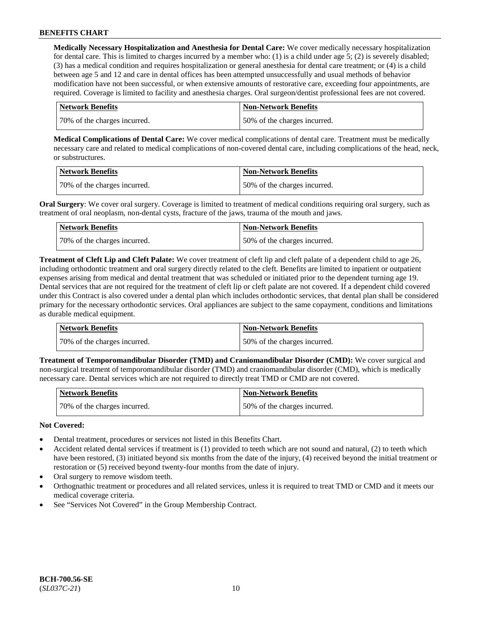**Medically Necessary Hospitalization and Anesthesia for Dental Care:** We cover medically necessary hospitalization for dental care. This is limited to charges incurred by a member who: (1) is a child under age  $5$ ; (2) is severely disabled; (3) has a medical condition and requires hospitalization or general anesthesia for dental care treatment; or (4) is a child between age 5 and 12 and care in dental offices has been attempted unsuccessfully and usual methods of behavior modification have not been successful, or when extensive amounts of restorative care, exceeding four appointments, are required. Coverage is limited to facility and anesthesia charges. Oral surgeon/dentist professional fees are not covered.

| <b>Network Benefits</b>      | <b>Non-Network Benefits</b>  |
|------------------------------|------------------------------|
| 70% of the charges incurred. | 50% of the charges incurred. |

**Medical Complications of Dental Care:** We cover medical complications of dental care. Treatment must be medically necessary care and related to medical complications of non-covered dental care, including complications of the head, neck, or substructures.

| Network Benefits             | Non-Network Benefits         |
|------------------------------|------------------------------|
| 70% of the charges incurred. | 50% of the charges incurred. |

**Oral Surgery**: We cover oral surgery. Coverage is limited to treatment of medical conditions requiring oral surgery, such as treatment of oral neoplasm, non-dental cysts, fracture of the jaws, trauma of the mouth and jaws.

| Network Benefits             | <b>Non-Network Benefits</b>  |
|------------------------------|------------------------------|
| 70% of the charges incurred. | 50% of the charges incurred. |

**Treatment of Cleft Lip and Cleft Palate:** We cover treatment of cleft lip and cleft palate of a dependent child to age 26, including orthodontic treatment and oral surgery directly related to the cleft. Benefits are limited to inpatient or outpatient expenses arising from medical and dental treatment that was scheduled or initiated prior to the dependent turning age 19. Dental services that are not required for the treatment of cleft lip or cleft palate are not covered. If a dependent child covered under this Contract is also covered under a dental plan which includes orthodontic services, that dental plan shall be considered primary for the necessary orthodontic services. Oral appliances are subject to the same copayment, conditions and limitations as durable medical equipment.

| Network Benefits             | Non-Network Benefits         |
|------------------------------|------------------------------|
| 70% of the charges incurred. | 50% of the charges incurred. |

**Treatment of Temporomandibular Disorder (TMD) and Craniomandibular Disorder (CMD):** We cover surgical and non-surgical treatment of temporomandibular disorder (TMD) and craniomandibular disorder (CMD), which is medically necessary care. Dental services which are not required to directly treat TMD or CMD are not covered.

| <b>Network Benefits</b>      | Non-Network Benefits         |
|------------------------------|------------------------------|
| 70% of the charges incurred. | 50% of the charges incurred. |

### **Not Covered:**

- Dental treatment, procedures or services not listed in this Benefits Chart.
- Accident related dental services if treatment is (1) provided to teeth which are not sound and natural, (2) to teeth which have been restored, (3) initiated beyond six months from the date of the injury, (4) received beyond the initial treatment or restoration or (5) received beyond twenty-four months from the date of injury.
- Oral surgery to remove wisdom teeth.
- Orthognathic treatment or procedures and all related services, unless it is required to treat TMD or CMD and it meets our medical coverage criteria.
- See "Services Not Covered" in the Group Membership Contract.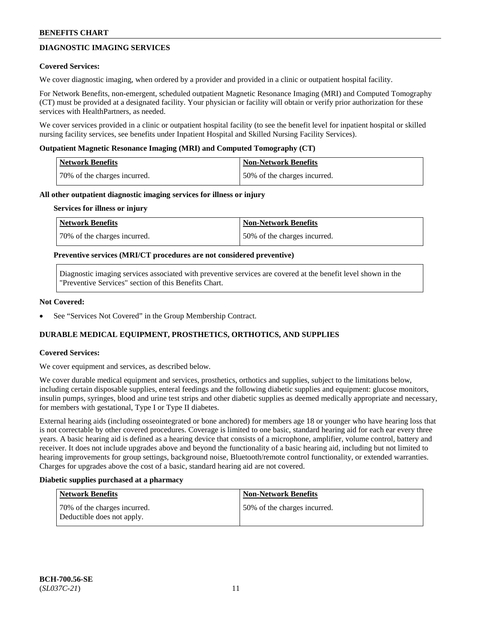## **DIAGNOSTIC IMAGING SERVICES**

#### **Covered Services:**

We cover diagnostic imaging, when ordered by a provider and provided in a clinic or outpatient hospital facility.

For Network Benefits, non-emergent, scheduled outpatient Magnetic Resonance Imaging (MRI) and Computed Tomography (CT) must be provided at a designated facility. Your physician or facility will obtain or verify prior authorization for these services with HealthPartners, as needed.

We cover services provided in a clinic or outpatient hospital facility (to see the benefit level for inpatient hospital or skilled nursing facility services, see benefits under Inpatient Hospital and Skilled Nursing Facility Services).

#### **Outpatient Magnetic Resonance Imaging (MRI) and Computed Tomography (CT)**

| Network Benefits             | <b>Non-Network Benefits</b>  |
|------------------------------|------------------------------|
| 70% of the charges incurred. | 50% of the charges incurred. |

#### **All other outpatient diagnostic imaging services for illness or injury**

#### **Services for illness or injury**

| Network Benefits             | <b>Non-Network Benefits</b>  |
|------------------------------|------------------------------|
| 70% of the charges incurred. | 50% of the charges incurred. |

#### **Preventive services (MRI/CT procedures are not considered preventive)**

Diagnostic imaging services associated with preventive services are covered at the benefit level shown in the "Preventive Services" section of this Benefits Chart.

#### **Not Covered:**

See "Services Not Covered" in the Group Membership Contract.

### **DURABLE MEDICAL EQUIPMENT, PROSTHETICS, ORTHOTICS, AND SUPPLIES**

#### **Covered Services:**

We cover equipment and services, as described below.

We cover durable medical equipment and services, prosthetics, orthotics and supplies, subject to the limitations below, including certain disposable supplies, enteral feedings and the following diabetic supplies and equipment: glucose monitors, insulin pumps, syringes, blood and urine test strips and other diabetic supplies as deemed medically appropriate and necessary, for members with gestational, Type I or Type II diabetes.

External hearing aids (including osseointegrated or bone anchored) for members age 18 or younger who have hearing loss that is not correctable by other covered procedures. Coverage is limited to one basic, standard hearing aid for each ear every three years. A basic hearing aid is defined as a hearing device that consists of a microphone, amplifier, volume control, battery and receiver. It does not include upgrades above and beyond the functionality of a basic hearing aid, including but not limited to hearing improvements for group settings, background noise, Bluetooth/remote control functionality, or extended warranties. Charges for upgrades above the cost of a basic, standard hearing aid are not covered.

#### **Diabetic supplies purchased at a pharmacy**

| <b>Network Benefits</b>                                    | <b>Non-Network Benefits</b>  |
|------------------------------------------------------------|------------------------------|
| 70% of the charges incurred.<br>Deductible does not apply. | 50% of the charges incurred. |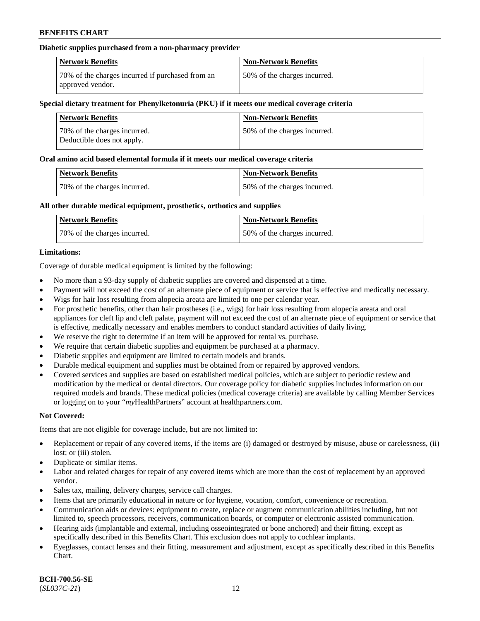### **Diabetic supplies purchased from a non-pharmacy provider**

| <b>Network Benefits</b>                                              | <b>Non-Network Benefits</b>  |
|----------------------------------------------------------------------|------------------------------|
| 70% of the charges incurred if purchased from an<br>approved vendor. | 50% of the charges incurred. |

#### **Special dietary treatment for Phenylketonuria (PKU) if it meets our medical coverage criteria**

| <b>Network Benefits</b>                                     | <b>Non-Network Benefits</b>  |
|-------------------------------------------------------------|------------------------------|
| 70\% of the charges incurred.<br>Deductible does not apply. | 50% of the charges incurred. |

#### **Oral amino acid based elemental formula if it meets our medical coverage criteria**

| <b>Network Benefits</b>      | <b>Non-Network Benefits</b>  |
|------------------------------|------------------------------|
| 70% of the charges incurred. | 50% of the charges incurred. |

### **All other durable medical equipment, prosthetics, orthotics and supplies**

| <b>Network Benefits</b>      | <b>Non-Network Benefits</b>  |
|------------------------------|------------------------------|
| 70% of the charges incurred. | 50% of the charges incurred. |

### **Limitations:**

Coverage of durable medical equipment is limited by the following:

- No more than a 93-day supply of diabetic supplies are covered and dispensed at a time.
- Payment will not exceed the cost of an alternate piece of equipment or service that is effective and medically necessary.
- Wigs for hair loss resulting from alopecia areata are limited to one per calendar year.
- For prosthetic benefits, other than hair prostheses (i.e., wigs) for hair loss resulting from alopecia areata and oral appliances for cleft lip and cleft palate, payment will not exceed the cost of an alternate piece of equipment or service that is effective, medically necessary and enables members to conduct standard activities of daily living.
- We reserve the right to determine if an item will be approved for rental vs. purchase.
- We require that certain diabetic supplies and equipment be purchased at a pharmacy.
- Diabetic supplies and equipment are limited to certain models and brands.
- Durable medical equipment and supplies must be obtained from or repaired by approved vendors.
- Covered services and supplies are based on established medical policies, which are subject to periodic review and modification by the medical or dental directors. Our coverage policy for diabetic supplies includes information on our required models and brands. These medical policies (medical coverage criteria) are available by calling Member Services or logging on to your "*my*HealthPartners" account a[t healthpartners.com.](https://www.healthpartners.com/hp/index.html)

### **Not Covered:**

Items that are not eligible for coverage include, but are not limited to:

- Replacement or repair of any covered items, if the items are (i) damaged or destroyed by misuse, abuse or carelessness, (ii) lost; or (iii) stolen.
- Duplicate or similar items.
- Labor and related charges for repair of any covered items which are more than the cost of replacement by an approved vendor.
- Sales tax, mailing, delivery charges, service call charges.
- Items that are primarily educational in nature or for hygiene, vocation, comfort, convenience or recreation.
- Communication aids or devices: equipment to create, replace or augment communication abilities including, but not limited to, speech processors, receivers, communication boards, or computer or electronic assisted communication.
- Hearing aids (implantable and external, including osseointegrated or bone anchored) and their fitting, except as specifically described in this Benefits Chart. This exclusion does not apply to cochlear implants.
- Eyeglasses, contact lenses and their fitting, measurement and adjustment, except as specifically described in this Benefits Chart.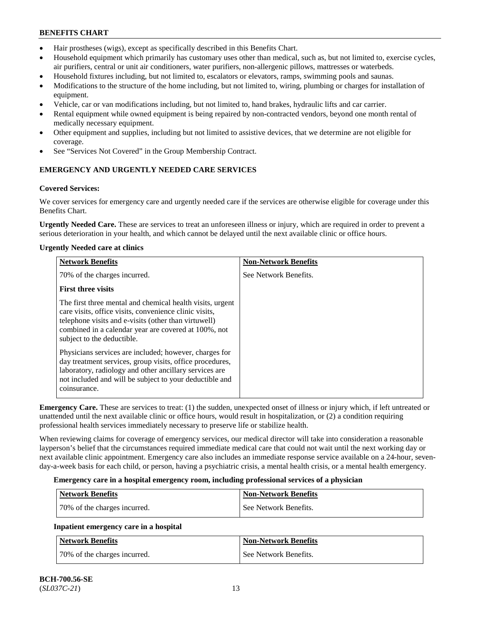- Hair prostheses (wigs), except as specifically described in this Benefits Chart.
- Household equipment which primarily has customary uses other than medical, such as, but not limited to, exercise cycles, air purifiers, central or unit air conditioners, water purifiers, non-allergenic pillows, mattresses or waterbeds.
- Household fixtures including, but not limited to, escalators or elevators, ramps, swimming pools and saunas.
- Modifications to the structure of the home including, but not limited to, wiring, plumbing or charges for installation of equipment.
- Vehicle, car or van modifications including, but not limited to, hand brakes, hydraulic lifts and car carrier.
- Rental equipment while owned equipment is being repaired by non-contracted vendors, beyond one month rental of medically necessary equipment.
- Other equipment and supplies, including but not limited to assistive devices, that we determine are not eligible for coverage.
- See "Services Not Covered" in the Group Membership Contract.

## **EMERGENCY AND URGENTLY NEEDED CARE SERVICES**

#### **Covered Services:**

We cover services for emergency care and urgently needed care if the services are otherwise eligible for coverage under this Benefits Chart.

**Urgently Needed Care.** These are services to treat an unforeseen illness or injury, which are required in order to prevent a serious deterioration in your health, and which cannot be delayed until the next available clinic or office hours.

#### **Urgently Needed care at clinics**

| <b>Network Benefits</b>                                                                                                                                                                                                                                           | <b>Non-Network Benefits</b> |
|-------------------------------------------------------------------------------------------------------------------------------------------------------------------------------------------------------------------------------------------------------------------|-----------------------------|
| 70% of the charges incurred.                                                                                                                                                                                                                                      | See Network Benefits.       |
| <b>First three visits</b>                                                                                                                                                                                                                                         |                             |
| The first three mental and chemical health visits, urgent<br>care visits, office visits, convenience clinic visits,<br>telephone visits and e-visits (other than virtuwell)<br>combined in a calendar year are covered at 100%, not<br>subject to the deductible. |                             |
| Physicians services are included; however, charges for<br>day treatment services, group visits, office procedures,<br>laboratory, radiology and other ancillary services are<br>not included and will be subject to your deductible and<br>coinsurance.           |                             |

**Emergency Care.** These are services to treat: (1) the sudden, unexpected onset of illness or injury which, if left untreated or unattended until the next available clinic or office hours, would result in hospitalization, or (2) a condition requiring professional health services immediately necessary to preserve life or stabilize health.

When reviewing claims for coverage of emergency services, our medical director will take into consideration a reasonable layperson's belief that the circumstances required immediate medical care that could not wait until the next working day or next available clinic appointment. Emergency care also includes an immediate response service available on a 24-hour, sevenday-a-week basis for each child, or person, having a psychiatric crisis, a mental health crisis, or a mental health emergency.

#### **Emergency care in a hospital emergency room, including professional services of a physician**

| Network Benefits             | <b>Non-Network Benefits</b> |
|------------------------------|-----------------------------|
| 70% of the charges incurred. | See Network Benefits.       |

### **Inpatient emergency care in a hospital**

| Network Benefits             | <b>Non-Network Benefits</b> |
|------------------------------|-----------------------------|
| 70% of the charges incurred. | See Network Benefits.       |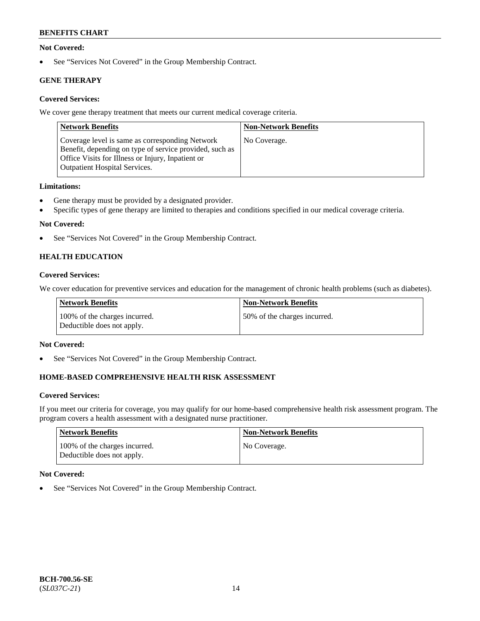### **Not Covered:**

• See "Services Not Covered" in the Group Membership Contract.

## **GENE THERAPY**

## **Covered Services:**

We cover gene therapy treatment that meets our current medical coverage criteria.

| <b>Network Benefits</b>                                                                                                                                                                                 | <b>Non-Network Benefits</b> |
|---------------------------------------------------------------------------------------------------------------------------------------------------------------------------------------------------------|-----------------------------|
| Coverage level is same as corresponding Network<br>Benefit, depending on type of service provided, such as<br>Office Visits for Illness or Injury, Inpatient or<br><b>Outpatient Hospital Services.</b> | No Coverage.                |

### **Limitations:**

- Gene therapy must be provided by a designated provider.
- Specific types of gene therapy are limited to therapies and conditions specified in our medical coverage criteria.

## **Not Covered:**

• See "Services Not Covered" in the Group Membership Contract.

## **HEALTH EDUCATION**

### **Covered Services:**

We cover education for preventive services and education for the management of chronic health problems (such as diabetes).

| Network Benefits                                            | <b>Non-Network Benefits</b>  |
|-------------------------------------------------------------|------------------------------|
| 100% of the charges incurred.<br>Deductible does not apply. | 50% of the charges incurred. |

### **Not Covered:**

• See "Services Not Covered" in the Group Membership Contract.

## **HOME-BASED COMPREHENSIVE HEALTH RISK ASSESSMENT**

### **Covered Services:**

If you meet our criteria for coverage, you may qualify for our home-based comprehensive health risk assessment program. The program covers a health assessment with a designated nurse practitioner.

| Network Benefits                                            | <b>Non-Network Benefits</b> |
|-------------------------------------------------------------|-----------------------------|
| 100% of the charges incurred.<br>Deductible does not apply. | No Coverage.                |

### **Not Covered:**

• See "Services Not Covered" in the Group Membership Contract.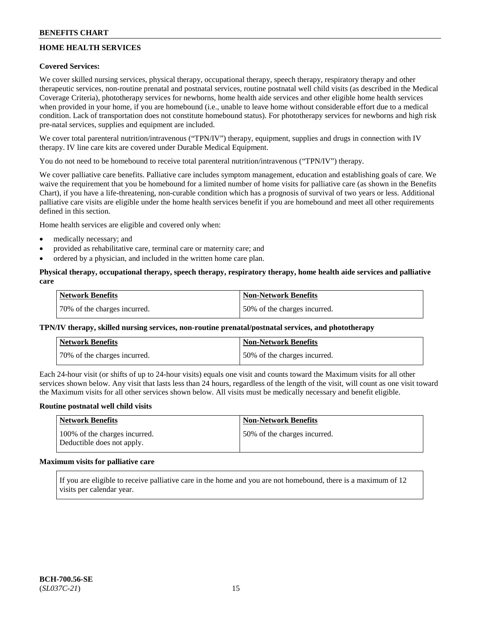## **HOME HEALTH SERVICES**

### **Covered Services:**

We cover skilled nursing services, physical therapy, occupational therapy, speech therapy, respiratory therapy and other therapeutic services, non-routine prenatal and postnatal services, routine postnatal well child visits (as described in the Medical Coverage Criteria), phototherapy services for newborns, home health aide services and other eligible home health services when provided in your home, if you are homebound (i.e., unable to leave home without considerable effort due to a medical condition. Lack of transportation does not constitute homebound status). For phototherapy services for newborns and high risk pre-natal services, supplies and equipment are included.

We cover total parenteral nutrition/intravenous ("TPN/IV") therapy, equipment, supplies and drugs in connection with IV therapy. IV line care kits are covered under Durable Medical Equipment.

You do not need to be homebound to receive total parenteral nutrition/intravenous ("TPN/IV") therapy.

We cover palliative care benefits. Palliative care includes symptom management, education and establishing goals of care. We waive the requirement that you be homebound for a limited number of home visits for palliative care (as shown in the Benefits Chart), if you have a life-threatening, non-curable condition which has a prognosis of survival of two years or less. Additional palliative care visits are eligible under the home health services benefit if you are homebound and meet all other requirements defined in this section.

Home health services are eligible and covered only when:

- medically necessary; and
- provided as rehabilitative care, terminal care or maternity care; and
- ordered by a physician, and included in the written home care plan.

### **Physical therapy, occupational therapy, speech therapy, respiratory therapy, home health aide services and palliative care**

| <b>Network Benefits</b>      | <b>Non-Network Benefits</b>  |
|------------------------------|------------------------------|
| 70% of the charges incurred. | 50% of the charges incurred. |

### **TPN/IV therapy, skilled nursing services, non-routine prenatal/postnatal services, and phototherapy**

| <b>Network Benefits</b>       | <b>Non-Network Benefits</b>  |
|-------------------------------|------------------------------|
| 170% of the charges incurred. | 50% of the charges incurred. |

Each 24-hour visit (or shifts of up to 24-hour visits) equals one visit and counts toward the Maximum visits for all other services shown below. Any visit that lasts less than 24 hours, regardless of the length of the visit, will count as one visit toward the Maximum visits for all other services shown below. All visits must be medically necessary and benefit eligible.

#### **Routine postnatal well child visits**

| Network Benefits                                            | <b>Non-Network Benefits</b>  |
|-------------------------------------------------------------|------------------------------|
| 100% of the charges incurred.<br>Deductible does not apply. | 50% of the charges incurred. |

## **Maximum visits for palliative care**

If you are eligible to receive palliative care in the home and you are not homebound, there is a maximum of 12 visits per calendar year.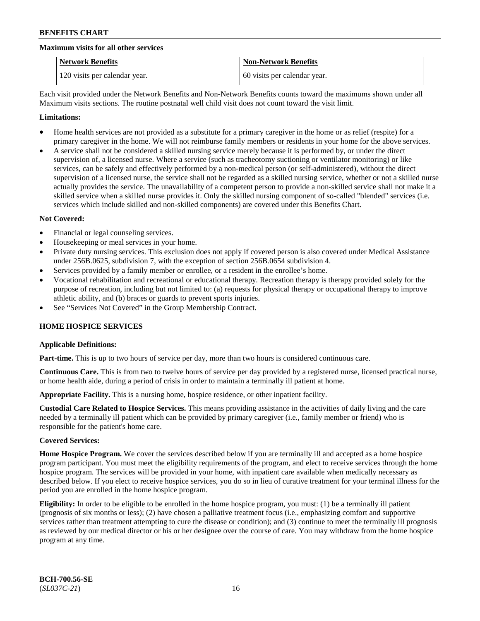#### **Maximum visits for all other services**

| <b>Network Benefits</b>       | <b>Non-Network Benefits</b>  |
|-------------------------------|------------------------------|
| 120 visits per calendar year. | 60 visits per calendar year. |

Each visit provided under the Network Benefits and Non-Network Benefits counts toward the maximums shown under all Maximum visits sections. The routine postnatal well child visit does not count toward the visit limit.

#### **Limitations:**

- Home health services are not provided as a substitute for a primary caregiver in the home or as relief (respite) for a primary caregiver in the home. We will not reimburse family members or residents in your home for the above services.
- A service shall not be considered a skilled nursing service merely because it is performed by, or under the direct supervision of, a licensed nurse. Where a service (such as tracheotomy suctioning or ventilator monitoring) or like services, can be safely and effectively performed by a non-medical person (or self-administered), without the direct supervision of a licensed nurse, the service shall not be regarded as a skilled nursing service, whether or not a skilled nurse actually provides the service. The unavailability of a competent person to provide a non-skilled service shall not make it a skilled service when a skilled nurse provides it. Only the skilled nursing component of so-called "blended" services (i.e. services which include skilled and non-skilled components) are covered under this Benefits Chart.

#### **Not Covered:**

- Financial or legal counseling services.
- Housekeeping or meal services in your home.
- Private duty nursing services. This exclusion does not apply if covered person is also covered under Medical Assistance under 256B.0625, subdivision 7, with the exception of section 256B.0654 subdivision 4.
- Services provided by a family member or enrollee, or a resident in the enrollee's home.
- Vocational rehabilitation and recreational or educational therapy. Recreation therapy is therapy provided solely for the purpose of recreation, including but not limited to: (a) requests for physical therapy or occupational therapy to improve athletic ability, and (b) braces or guards to prevent sports injuries.
- See "Services Not Covered" in the Group Membership Contract.

### **HOME HOSPICE SERVICES**

### **Applicable Definitions:**

**Part-time.** This is up to two hours of service per day, more than two hours is considered continuous care.

**Continuous Care.** This is from two to twelve hours of service per day provided by a registered nurse, licensed practical nurse, or home health aide, during a period of crisis in order to maintain a terminally ill patient at home.

**Appropriate Facility.** This is a nursing home, hospice residence, or other inpatient facility.

**Custodial Care Related to Hospice Services.** This means providing assistance in the activities of daily living and the care needed by a terminally ill patient which can be provided by primary caregiver (i.e., family member or friend) who is responsible for the patient's home care.

#### **Covered Services:**

**Home Hospice Program.** We cover the services described below if you are terminally ill and accepted as a home hospice program participant. You must meet the eligibility requirements of the program, and elect to receive services through the home hospice program. The services will be provided in your home, with inpatient care available when medically necessary as described below. If you elect to receive hospice services, you do so in lieu of curative treatment for your terminal illness for the period you are enrolled in the home hospice program.

**Eligibility:** In order to be eligible to be enrolled in the home hospice program, you must: (1) be a terminally ill patient (prognosis of six months or less); (2) have chosen a palliative treatment focus (i.e., emphasizing comfort and supportive services rather than treatment attempting to cure the disease or condition); and (3) continue to meet the terminally ill prognosis as reviewed by our medical director or his or her designee over the course of care. You may withdraw from the home hospice program at any time.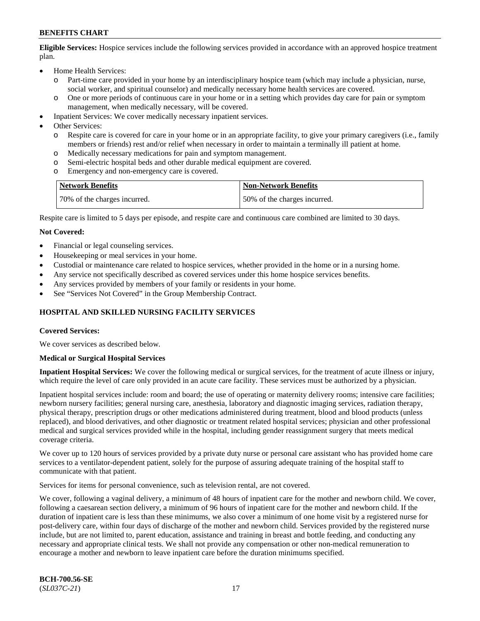**Eligible Services:** Hospice services include the following services provided in accordance with an approved hospice treatment plan.

- Home Health Services:
	- o Part-time care provided in your home by an interdisciplinary hospice team (which may include a physician, nurse, social worker, and spiritual counselor) and medically necessary home health services are covered.
	- o One or more periods of continuous care in your home or in a setting which provides day care for pain or symptom management, when medically necessary, will be covered.
- Inpatient Services: We cover medically necessary inpatient services.
- Other Services:
	- o Respite care is covered for care in your home or in an appropriate facility, to give your primary caregivers (i.e., family members or friends) rest and/or relief when necessary in order to maintain a terminally ill patient at home.
	- o Medically necessary medications for pain and symptom management.
	- Semi-electric hospital beds and other durable medical equipment are covered.
	- o Emergency and non-emergency care is covered.

| <b>Network Benefits</b>      | Non-Network Benefits         |
|------------------------------|------------------------------|
| 70% of the charges incurred. | 50% of the charges incurred. |

Respite care is limited to 5 days per episode, and respite care and continuous care combined are limited to 30 days.

#### **Not Covered:**

- Financial or legal counseling services.
- Housekeeping or meal services in your home.
- Custodial or maintenance care related to hospice services, whether provided in the home or in a nursing home.
- Any service not specifically described as covered services under this home hospice services benefits.
- Any services provided by members of your family or residents in your home.
- See "Services Not Covered" in the Group Membership Contract.

### **HOSPITAL AND SKILLED NURSING FACILITY SERVICES**

#### **Covered Services:**

We cover services as described below.

#### **Medical or Surgical Hospital Services**

**Inpatient Hospital Services:** We cover the following medical or surgical services, for the treatment of acute illness or injury, which require the level of care only provided in an acute care facility. These services must be authorized by a physician.

Inpatient hospital services include: room and board; the use of operating or maternity delivery rooms; intensive care facilities; newborn nursery facilities; general nursing care, anesthesia, laboratory and diagnostic imaging services, radiation therapy, physical therapy, prescription drugs or other medications administered during treatment, blood and blood products (unless replaced), and blood derivatives, and other diagnostic or treatment related hospital services; physician and other professional medical and surgical services provided while in the hospital, including gender reassignment surgery that meets medical coverage criteria.

We cover up to 120 hours of services provided by a private duty nurse or personal care assistant who has provided home care services to a ventilator-dependent patient, solely for the purpose of assuring adequate training of the hospital staff to communicate with that patient.

Services for items for personal convenience, such as television rental, are not covered.

We cover, following a vaginal delivery, a minimum of 48 hours of inpatient care for the mother and newborn child. We cover, following a caesarean section delivery, a minimum of 96 hours of inpatient care for the mother and newborn child. If the duration of inpatient care is less than these minimums, we also cover a minimum of one home visit by a registered nurse for post-delivery care, within four days of discharge of the mother and newborn child. Services provided by the registered nurse include, but are not limited to, parent education, assistance and training in breast and bottle feeding, and conducting any necessary and appropriate clinical tests. We shall not provide any compensation or other non-medical remuneration to encourage a mother and newborn to leave inpatient care before the duration minimums specified.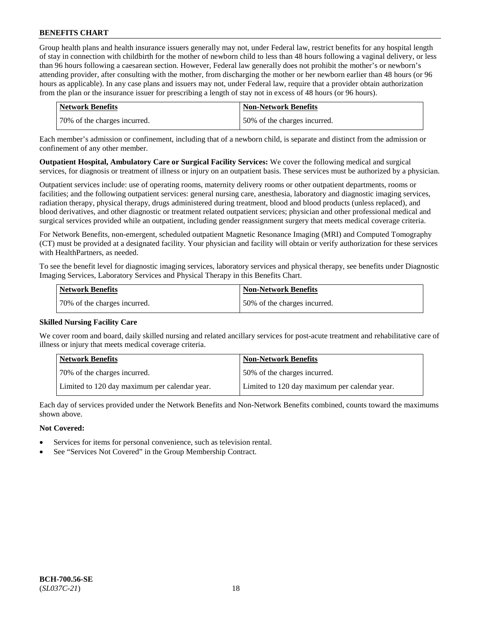Group health plans and health insurance issuers generally may not, under Federal law, restrict benefits for any hospital length of stay in connection with childbirth for the mother of newborn child to less than 48 hours following a vaginal delivery, or less than 96 hours following a caesarean section. However, Federal law generally does not prohibit the mother's or newborn's attending provider, after consulting with the mother, from discharging the mother or her newborn earlier than 48 hours (or 96 hours as applicable). In any case plans and issuers may not, under Federal law, require that a provider obtain authorization from the plan or the insurance issuer for prescribing a length of stay not in excess of 48 hours (or 96 hours).

| Network Benefits             | <b>Non-Network Benefits</b>  |
|------------------------------|------------------------------|
| 70% of the charges incurred. | 50% of the charges incurred. |

Each member's admission or confinement, including that of a newborn child, is separate and distinct from the admission or confinement of any other member.

**Outpatient Hospital, Ambulatory Care or Surgical Facility Services:** We cover the following medical and surgical services, for diagnosis or treatment of illness or injury on an outpatient basis. These services must be authorized by a physician.

Outpatient services include: use of operating rooms, maternity delivery rooms or other outpatient departments, rooms or facilities; and the following outpatient services: general nursing care, anesthesia, laboratory and diagnostic imaging services, radiation therapy, physical therapy, drugs administered during treatment, blood and blood products (unless replaced), and blood derivatives, and other diagnostic or treatment related outpatient services; physician and other professional medical and surgical services provided while an outpatient, including gender reassignment surgery that meets medical coverage criteria.

For Network Benefits, non-emergent, scheduled outpatient Magnetic Resonance Imaging (MRI) and Computed Tomography (CT) must be provided at a designated facility. Your physician and facility will obtain or verify authorization for these services with HealthPartners, as needed.

To see the benefit level for diagnostic imaging services, laboratory services and physical therapy, see benefits under Diagnostic Imaging Services, Laboratory Services and Physical Therapy in this Benefits Chart.

| Network Benefits             | <b>Non-Network Benefits</b>  |
|------------------------------|------------------------------|
| 70% of the charges incurred. | 50% of the charges incurred. |

### **Skilled Nursing Facility Care**

We cover room and board, daily skilled nursing and related ancillary services for post-acute treatment and rehabilitative care of illness or injury that meets medical coverage criteria.

| <b>Network Benefits</b>                       | <b>Non-Network Benefits</b>                   |
|-----------------------------------------------|-----------------------------------------------|
| 70% of the charges incurred.                  | 50% of the charges incurred.                  |
| Limited to 120 day maximum per calendar year. | Limited to 120 day maximum per calendar year. |

Each day of services provided under the Network Benefits and Non-Network Benefits combined, counts toward the maximums shown above.

### **Not Covered:**

- Services for items for personal convenience, such as television rental.
- See "Services Not Covered" in the Group Membership Contract.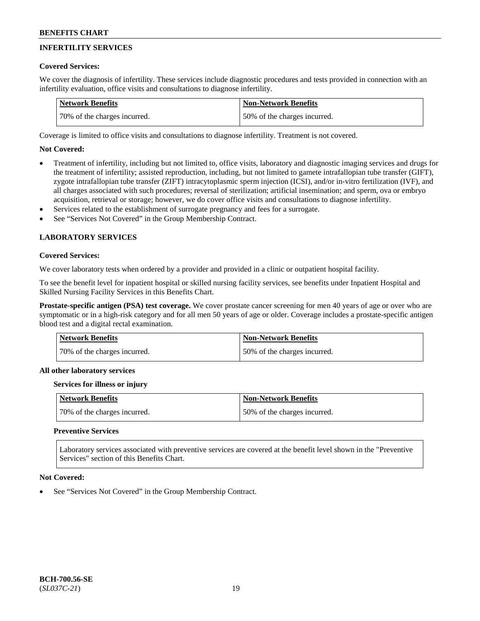## **INFERTILITY SERVICES**

### **Covered Services:**

We cover the diagnosis of infertility. These services include diagnostic procedures and tests provided in connection with an infertility evaluation, office visits and consultations to diagnose infertility.

| <b>Network Benefits</b>      | <b>Non-Network Benefits</b>  |
|------------------------------|------------------------------|
| 70% of the charges incurred. | 50% of the charges incurred. |

Coverage is limited to office visits and consultations to diagnose infertility. Treatment is not covered.

## **Not Covered:**

- Treatment of infertility, including but not limited to, office visits, laboratory and diagnostic imaging services and drugs for the treatment of infertility; assisted reproduction, including, but not limited to gamete intrafallopian tube transfer (GIFT), zygote intrafallopian tube transfer (ZIFT) intracytoplasmic sperm injection (ICSI), and/or in-vitro fertilization (IVF), and all charges associated with such procedures; reversal of sterilization; artificial insemination; and sperm, ova or embryo acquisition, retrieval or storage; however, we do cover office visits and consultations to diagnose infertility.
- Services related to the establishment of surrogate pregnancy and fees for a surrogate.
- See "Services Not Covered" in the Group Membership Contract.

## **LABORATORY SERVICES**

#### **Covered Services:**

We cover laboratory tests when ordered by a provider and provided in a clinic or outpatient hospital facility.

To see the benefit level for inpatient hospital or skilled nursing facility services, see benefits under Inpatient Hospital and Skilled Nursing Facility Services in this Benefits Chart.

**Prostate-specific antigen (PSA) test coverage.** We cover prostate cancer screening for men 40 years of age or over who are symptomatic or in a high-risk category and for all men 50 years of age or older. Coverage includes a prostate-specific antigen blood test and a digital rectal examination.

| <b>Network Benefits</b>      | <b>Non-Network Benefits</b>  |
|------------------------------|------------------------------|
| 70% of the charges incurred. | 50% of the charges incurred. |

#### **All other laboratory services**

#### **Services for illness or injury**

| Network Benefits             | <b>Non-Network Benefits</b>  |
|------------------------------|------------------------------|
| 70% of the charges incurred. | 50% of the charges incurred. |

### **Preventive Services**

Laboratory services associated with preventive services are covered at the benefit level shown in the "Preventive Services" section of this Benefits Chart.

#### **Not Covered:**

See "Services Not Covered" in the Group Membership Contract.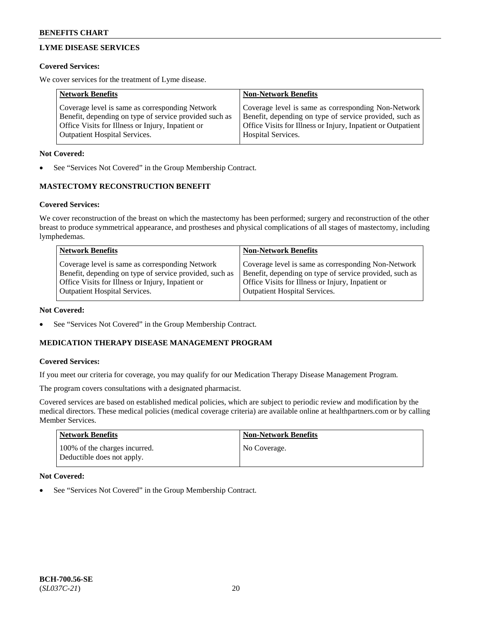## **LYME DISEASE SERVICES**

### **Covered Services:**

We cover services for the treatment of Lyme disease.

| <b>Network Benefits</b>                                | <b>Non-Network Benefits</b>                                  |
|--------------------------------------------------------|--------------------------------------------------------------|
| Coverage level is same as corresponding Network        | Coverage level is same as corresponding Non-Network          |
| Benefit, depending on type of service provided such as | Benefit, depending on type of service provided, such as      |
| Office Visits for Illness or Injury, Inpatient or      | Office Visits for Illness or Injury, Inpatient or Outpatient |
| <b>Outpatient Hospital Services.</b>                   | Hospital Services.                                           |

### **Not Covered:**

See "Services Not Covered" in the Group Membership Contract.

## **MASTECTOMY RECONSTRUCTION BENEFIT**

## **Covered Services:**

We cover reconstruction of the breast on which the mastectomy has been performed; surgery and reconstruction of the other breast to produce symmetrical appearance, and prostheses and physical complications of all stages of mastectomy, including lymphedemas.

| <b>Network Benefits</b>                                 | <b>Non-Network Benefits</b>                             |
|---------------------------------------------------------|---------------------------------------------------------|
| Coverage level is same as corresponding Network         | Coverage level is same as corresponding Non-Network     |
| Benefit, depending on type of service provided, such as | Benefit, depending on type of service provided, such as |
| Office Visits for Illness or Injury, Inpatient or       | Office Visits for Illness or Injury, Inpatient or       |
| <b>Outpatient Hospital Services.</b>                    | Outpatient Hospital Services.                           |

### **Not Covered:**

See "Services Not Covered" in the Group Membership Contract.

## **MEDICATION THERAPY DISEASE MANAGEMENT PROGRAM**

### **Covered Services:**

If you meet our criteria for coverage, you may qualify for our Medication Therapy Disease Management Program.

The program covers consultations with a designated pharmacist.

Covered services are based on established medical policies, which are subject to periodic review and modification by the medical directors. These medical policies (medical coverage criteria) are available online at [healthpartners.com](https://www.healthpartners.com/hp/index.html) or by calling Member Services.

| <b>Network Benefits</b>                                     | Non-Network Benefits |
|-------------------------------------------------------------|----------------------|
| 100% of the charges incurred.<br>Deductible does not apply. | No Coverage.         |

### **Not Covered:**

See "Services Not Covered" in the Group Membership Contract.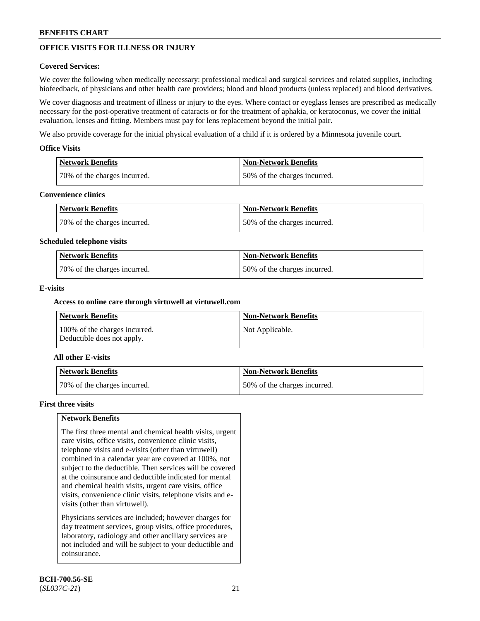## **OFFICE VISITS FOR ILLNESS OR INJURY**

### **Covered Services:**

We cover the following when medically necessary: professional medical and surgical services and related supplies, including biofeedback, of physicians and other health care providers; blood and blood products (unless replaced) and blood derivatives.

We cover diagnosis and treatment of illness or injury to the eyes. Where contact or eyeglass lenses are prescribed as medically necessary for the post-operative treatment of cataracts or for the treatment of aphakia, or keratoconus, we cover the initial evaluation, lenses and fitting. Members must pay for lens replacement beyond the initial pair.

We also provide coverage for the initial physical evaluation of a child if it is ordered by a Minnesota juvenile court.

### **Office Visits**

| <b>Network Benefits</b>      | <b>Non-Network Benefits</b>  |
|------------------------------|------------------------------|
| 70% of the charges incurred. | 50% of the charges incurred. |

#### **Convenience clinics**

| Network Benefits             | Non-Network Benefits         |
|------------------------------|------------------------------|
| 70% of the charges incurred. | 50% of the charges incurred. |

#### **Scheduled telephone visits**

| <b>Network Benefits</b>      | Non-Network Benefits         |
|------------------------------|------------------------------|
| 70% of the charges incurred. | 50% of the charges incurred. |

### **E-visits**

### **Access to online care through virtuwell at [virtuwell.com](https://www.virtuwell.com/)**

| Network Benefits                                            | <b>Non-Network Benefits</b> |
|-------------------------------------------------------------|-----------------------------|
| 100% of the charges incurred.<br>Deductible does not apply. | Not Applicable.             |

### **All other E-visits**

| Network Benefits             | <b>Non-Network Benefits</b>  |
|------------------------------|------------------------------|
| 70% of the charges incurred. | 50% of the charges incurred. |

#### **First three visits**

### **Network Benefits**

The first three mental and chemical health visits, urgent care visits, office visits, convenience clinic visits, telephone visits and e-visits (other than virtuwell) combined in a calendar year are covered at 100%, not subject to the deductible. Then services will be covered at the coinsurance and deductible indicated for mental and chemical health visits, urgent care visits, office visits, convenience clinic visits, telephone visits and evisits (other than virtuwell).

Physicians services are included; however charges for day treatment services, group visits, office procedures, laboratory, radiology and other ancillary services are not included and will be subject to your deductible and coinsurance.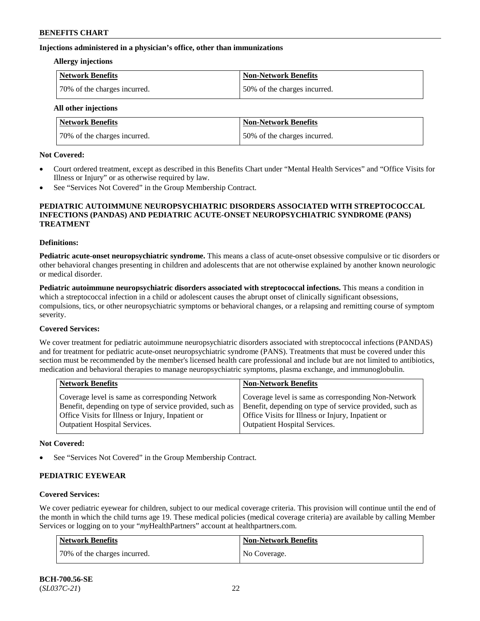#### **Injections administered in a physician's office, other than immunizations**

#### **Allergy injections**

| Network Benefits             | <b>Non-Network Benefits</b>  |
|------------------------------|------------------------------|
| 70% of the charges incurred. | 50% of the charges incurred. |

**All other injections**

| <b>Network Benefits</b>      | <b>Non-Network Benefits</b>  |
|------------------------------|------------------------------|
| 70% of the charges incurred. | 50% of the charges incurred. |

#### **Not Covered:**

- Court ordered treatment, except as described in this Benefits Chart under "Mental Health Services" and "Office Visits for Illness or Injury" or as otherwise required by law.
- See "Services Not Covered" in the Group Membership Contract.

#### **PEDIATRIC AUTOIMMUNE NEUROPSYCHIATRIC DISORDERS ASSOCIATED WITH STREPTOCOCCAL INFECTIONS (PANDAS) AND PEDIATRIC ACUTE-ONSET NEUROPSYCHIATRIC SYNDROME (PANS) TREATMENT**

#### **Definitions:**

**Pediatric acute-onset neuropsychiatric syndrome.** This means a class of acute-onset obsessive compulsive or tic disorders or other behavioral changes presenting in children and adolescents that are not otherwise explained by another known neurologic or medical disorder.

**Pediatric autoimmune neuropsychiatric disorders associated with streptococcal infections.** This means a condition in which a streptococcal infection in a child or adolescent causes the abrupt onset of clinically significant obsessions, compulsions, tics, or other neuropsychiatric symptoms or behavioral changes, or a relapsing and remitting course of symptom severity.

### **Covered Services:**

We cover treatment for pediatric autoimmune neuropsychiatric disorders associated with streptococcal infections (PANDAS) and for treatment for pediatric acute-onset neuropsychiatric syndrome (PANS). Treatments that must be covered under this section must be recommended by the member's licensed health care professional and include but are not limited to antibiotics, medication and behavioral therapies to manage neuropsychiatric symptoms, plasma exchange, and immunoglobulin.

| <b>Non-Network Benefits</b>                                                                                                                                                                                 |
|-------------------------------------------------------------------------------------------------------------------------------------------------------------------------------------------------------------|
| Coverage level is same as corresponding Non-Network<br>Benefit, depending on type of service provided, such as<br>Office Visits for Illness or Injury, Inpatient or<br><b>Outpatient Hospital Services.</b> |
|                                                                                                                                                                                                             |

#### **Not Covered:**

See "Services Not Covered" in the Group Membership Contract.

### **PEDIATRIC EYEWEAR**

### **Covered Services:**

We cover pediatric eyewear for children, subject to our medical coverage criteria. This provision will continue until the end of the month in which the child turns age 19. These medical policies (medical coverage criteria) are available by calling Member Services or logging on to your "*my*HealthPartners" account at [healthpartners.com.](https://www.healthpartners.com/hp/index.html)

| Network Benefits             | <b>Non-Network Benefits</b> |
|------------------------------|-----------------------------|
| 70% of the charges incurred. | No Coverage.                |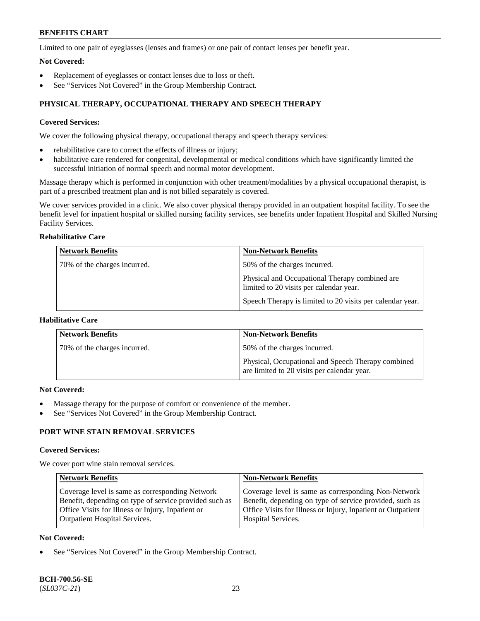Limited to one pair of eyeglasses (lenses and frames) or one pair of contact lenses per benefit year.

#### **Not Covered:**

- Replacement of eyeglasses or contact lenses due to loss or theft.
- See "Services Not Covered" in the Group Membership Contract.

## **PHYSICAL THERAPY, OCCUPATIONAL THERAPY AND SPEECH THERAPY**

### **Covered Services:**

We cover the following physical therapy, occupational therapy and speech therapy services:

- rehabilitative care to correct the effects of illness or injury;
- habilitative care rendered for congenital, developmental or medical conditions which have significantly limited the successful initiation of normal speech and normal motor development.

Massage therapy which is performed in conjunction with other treatment/modalities by a physical occupational therapist, is part of a prescribed treatment plan and is not billed separately is covered.

We cover services provided in a clinic. We also cover physical therapy provided in an outpatient hospital facility. To see the benefit level for inpatient hospital or skilled nursing facility services, see benefits under Inpatient Hospital and Skilled Nursing Facility Services.

## **Rehabilitative Care**

| <b>Network Benefits</b>      | <b>Non-Network Benefits</b>                                                               |
|------------------------------|-------------------------------------------------------------------------------------------|
| 70% of the charges incurred. | 50% of the charges incurred.                                                              |
|                              | Physical and Occupational Therapy combined are<br>limited to 20 visits per calendar year. |
|                              | Speech Therapy is limited to 20 visits per calendar year.                                 |

## **Habilitative Care**

| <b>Network Benefits</b>      | <b>Non-Network Benefits</b>                                                                       |
|------------------------------|---------------------------------------------------------------------------------------------------|
| 70% of the charges incurred. | 50% of the charges incurred.                                                                      |
|                              | Physical, Occupational and Speech Therapy combined<br>are limited to 20 visits per calendar year. |

#### **Not Covered:**

- Massage therapy for the purpose of comfort or convenience of the member.
- See "Services Not Covered" in the Group Membership Contract.

## **PORT WINE STAIN REMOVAL SERVICES**

#### **Covered Services:**

We cover port wine stain removal services.

| <b>Network Benefits</b>                                | <b>Non-Network Benefits</b>                                  |
|--------------------------------------------------------|--------------------------------------------------------------|
| Coverage level is same as corresponding Network        | Coverage level is same as corresponding Non-Network          |
| Benefit, depending on type of service provided such as | Benefit, depending on type of service provided, such as      |
| Office Visits for Illness or Injury, Inpatient or      | Office Visits for Illness or Injury, Inpatient or Outpatient |
| <b>Outpatient Hospital Services.</b>                   | Hospital Services.                                           |

### **Not Covered:**

See "Services Not Covered" in the Group Membership Contract.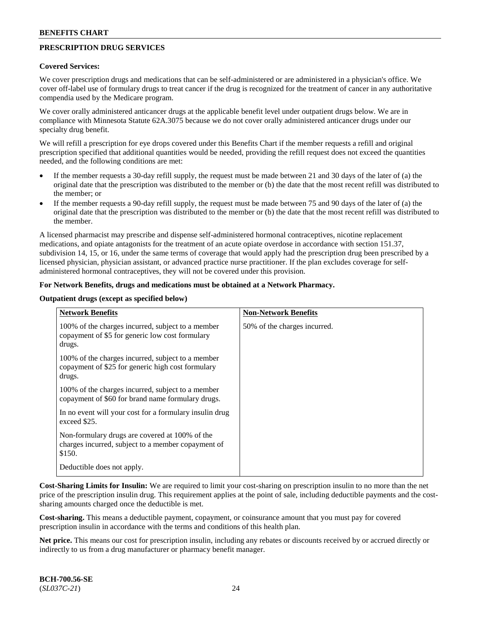## **PRESCRIPTION DRUG SERVICES**

#### **Covered Services:**

We cover prescription drugs and medications that can be self-administered or are administered in a physician's office. We cover off-label use of formulary drugs to treat cancer if the drug is recognized for the treatment of cancer in any authoritative compendia used by the Medicare program.

We cover orally administered anticancer drugs at the applicable benefit level under outpatient drugs below. We are in compliance with Minnesota Statute 62A.3075 because we do not cover orally administered anticancer drugs under our specialty drug benefit.

We will refill a prescription for eye drops covered under this Benefits Chart if the member requests a refill and original prescription specified that additional quantities would be needed, providing the refill request does not exceed the quantities needed, and the following conditions are met:

- If the member requests a 30-day refill supply, the request must be made between 21 and 30 days of the later of (a) the original date that the prescription was distributed to the member or (b) the date that the most recent refill was distributed to the member; or
- If the member requests a 90-day refill supply, the request must be made between 75 and 90 days of the later of (a) the original date that the prescription was distributed to the member or (b) the date that the most recent refill was distributed to the member.

A licensed pharmacist may prescribe and dispense self-administered hormonal contraceptives, nicotine replacement medications, and opiate antagonists for the treatment of an acute opiate overdose in accordance with section 151.37, subdivision 14, 15, or 16, under the same terms of coverage that would apply had the prescription drug been prescribed by a licensed physician, physician assistant, or advanced practice nurse practitioner. If the plan excludes coverage for selfadministered hormonal contraceptives, they will not be covered under this provision.

#### **For Network Benefits, drugs and medications must be obtained at a Network Pharmacy.**

#### **Outpatient drugs (except as specified below)**

| <b>Network Benefits</b>                                                                                          | <b>Non-Network Benefits</b>  |
|------------------------------------------------------------------------------------------------------------------|------------------------------|
| 100% of the charges incurred, subject to a member<br>copayment of \$5 for generic low cost formulary<br>drugs.   | 50% of the charges incurred. |
| 100% of the charges incurred, subject to a member<br>copayment of \$25 for generic high cost formulary<br>drugs. |                              |
| 100% of the charges incurred, subject to a member<br>copayment of \$60 for brand name formulary drugs.           |                              |
| In no event will your cost for a formulary insulin drug<br>exceed \$25.                                          |                              |
| Non-formulary drugs are covered at 100% of the<br>charges incurred, subject to a member copayment of<br>\$150.   |                              |
| Deductible does not apply.                                                                                       |                              |

**Cost-Sharing Limits for Insulin:** We are required to limit your cost-sharing on prescription insulin to no more than the net price of the prescription insulin drug. This requirement applies at the point of sale, including deductible payments and the costsharing amounts charged once the deductible is met.

**Cost-sharing.** This means a deductible payment, copayment, or coinsurance amount that you must pay for covered prescription insulin in accordance with the terms and conditions of this health plan.

**Net price.** This means our cost for prescription insulin, including any rebates or discounts received by or accrued directly or indirectly to us from a drug manufacturer or pharmacy benefit manager.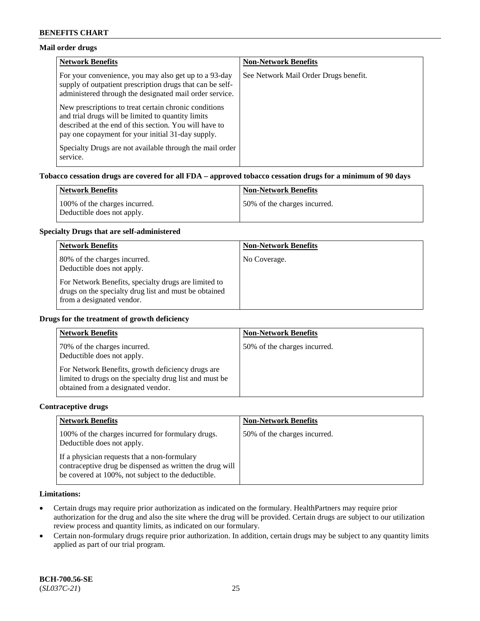### **Mail order drugs**

| <b>Network Benefits</b>                                                                                                                                                                                                    | <b>Non-Network Benefits</b>           |
|----------------------------------------------------------------------------------------------------------------------------------------------------------------------------------------------------------------------------|---------------------------------------|
| For your convenience, you may also get up to a 93-day<br>supply of outpatient prescription drugs that can be self-<br>administered through the designated mail order service.                                              | See Network Mail Order Drugs benefit. |
| New prescriptions to treat certain chronic conditions<br>and trial drugs will be limited to quantity limits<br>described at the end of this section. You will have to<br>pay one copayment for your initial 31-day supply. |                                       |
| Specialty Drugs are not available through the mail order<br>service.                                                                                                                                                       |                                       |

#### **Tobacco cessation drugs are covered for all FDA – approved tobacco cessation drugs for a minimum of 90 days**

| Network Benefits                                            | <b>Non-Network Benefits</b>   |
|-------------------------------------------------------------|-------------------------------|
| 100% of the charges incurred.<br>Deductible does not apply. | 150% of the charges incurred. |

#### **Specialty Drugs that are self-administered**

| <b>Network Benefits</b>                                                                                                                    | <b>Non-Network Benefits</b> |
|--------------------------------------------------------------------------------------------------------------------------------------------|-----------------------------|
| 80% of the charges incurred.<br>Deductible does not apply.                                                                                 | No Coverage.                |
| For Network Benefits, specialty drugs are limited to<br>drugs on the specialty drug list and must be obtained<br>from a designated vendor. |                             |

#### **Drugs for the treatment of growth deficiency**

| <b>Network Benefits</b>                                                                                                                            | <b>Non-Network Benefits</b>  |
|----------------------------------------------------------------------------------------------------------------------------------------------------|------------------------------|
| 70% of the charges incurred.<br>Deductible does not apply.                                                                                         | 50% of the charges incurred. |
| For Network Benefits, growth deficiency drugs are<br>limited to drugs on the specialty drug list and must be<br>obtained from a designated vendor. |                              |

#### **Contraceptive drugs**

| <b>Network Benefits</b>                                                                                                                                        | <b>Non-Network Benefits</b>  |
|----------------------------------------------------------------------------------------------------------------------------------------------------------------|------------------------------|
| 100% of the charges incurred for formulary drugs.<br>Deductible does not apply.                                                                                | 50% of the charges incurred. |
| If a physician requests that a non-formulary<br>contraceptive drug be dispensed as written the drug will<br>be covered at 100%, not subject to the deductible. |                              |

### **Limitations:**

- Certain drugs may require prior authorization as indicated on the formulary. HealthPartners may require prior authorization for the drug and also the site where the drug will be provided. Certain drugs are subject to our utilization review process and quantity limits, as indicated on our formulary.
- Certain non-formulary drugs require prior authorization. In addition, certain drugs may be subject to any quantity limits applied as part of our trial program.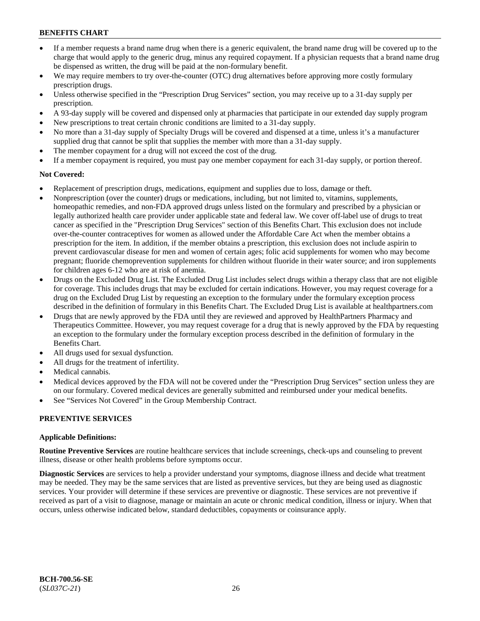- If a member requests a brand name drug when there is a generic equivalent, the brand name drug will be covered up to the charge that would apply to the generic drug, minus any required copayment. If a physician requests that a brand name drug be dispensed as written, the drug will be paid at the non-formulary benefit.
- We may require members to try over-the-counter (OTC) drug alternatives before approving more costly formulary prescription drugs.
- Unless otherwise specified in the "Prescription Drug Services" section, you may receive up to a 31-day supply per prescription.
- A 93-day supply will be covered and dispensed only at pharmacies that participate in our extended day supply program
- New prescriptions to treat certain chronic conditions are limited to a 31-day supply.
- No more than a 31-day supply of Specialty Drugs will be covered and dispensed at a time, unless it's a manufacturer supplied drug that cannot be split that supplies the member with more than a 31-day supply.
- The member copayment for a drug will not exceed the cost of the drug.
- If a member copayment is required, you must pay one member copayment for each 31-day supply, or portion thereof.

## **Not Covered:**

- Replacement of prescription drugs, medications, equipment and supplies due to loss, damage or theft.
- Nonprescription (over the counter) drugs or medications, including, but not limited to, vitamins, supplements, homeopathic remedies, and non-FDA approved drugs unless listed on the formulary and prescribed by a physician or legally authorized health care provider under applicable state and federal law. We cover off-label use of drugs to treat cancer as specified in the "Prescription Drug Services" section of this Benefits Chart. This exclusion does not include over-the-counter contraceptives for women as allowed under the Affordable Care Act when the member obtains a prescription for the item. In addition, if the member obtains a prescription, this exclusion does not include aspirin to prevent cardiovascular disease for men and women of certain ages; folic acid supplements for women who may become pregnant; fluoride chemoprevention supplements for children without fluoride in their water source; and iron supplements for children ages 6-12 who are at risk of anemia.
- Drugs on the Excluded Drug List. The Excluded Drug List includes select drugs within a therapy class that are not eligible for coverage. This includes drugs that may be excluded for certain indications. However, you may request coverage for a drug on the Excluded Drug List by requesting an exception to the formulary under the formulary exception process described in the definition of formulary in this Benefits Chart. The Excluded Drug List is available at [healthpartners.com](http://www.healthpartners.com/)
- Drugs that are newly approved by the FDA until they are reviewed and approved by HealthPartners Pharmacy and Therapeutics Committee. However, you may request coverage for a drug that is newly approved by the FDA by requesting an exception to the formulary under the formulary exception process described in the definition of formulary in the Benefits Chart.
- All drugs used for sexual dysfunction.
- All drugs for the treatment of infertility.
- Medical cannabis.
- Medical devices approved by the FDA will not be covered under the "Prescription Drug Services" section unless they are on our formulary. Covered medical devices are generally submitted and reimbursed under your medical benefits.
- See "Services Not Covered" in the Group Membership Contract.

## **PREVENTIVE SERVICES**

### **Applicable Definitions:**

**Routine Preventive Services** are routine healthcare services that include screenings, check-ups and counseling to prevent illness, disease or other health problems before symptoms occur.

**Diagnostic Services** are services to help a provider understand your symptoms, diagnose illness and decide what treatment may be needed. They may be the same services that are listed as preventive services, but they are being used as diagnostic services. Your provider will determine if these services are preventive or diagnostic. These services are not preventive if received as part of a visit to diagnose, manage or maintain an acute or chronic medical condition, illness or injury. When that occurs, unless otherwise indicated below, standard deductibles, copayments or coinsurance apply.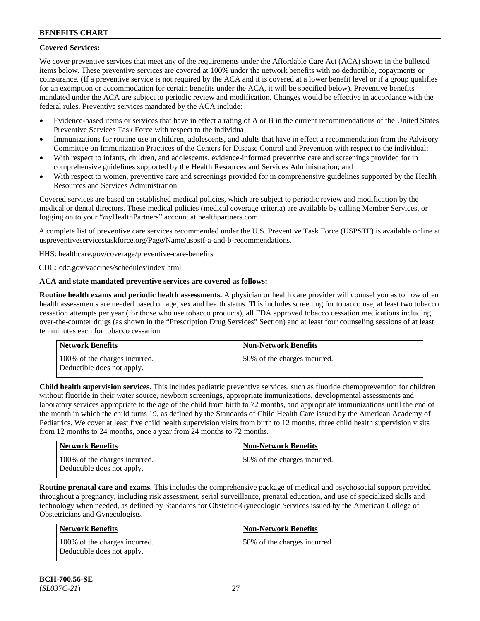## **Covered Services:**

We cover preventive services that meet any of the requirements under the Affordable Care Act (ACA) shown in the bulleted items below. These preventive services are covered at 100% under the network benefits with no deductible, copayments or coinsurance. (If a preventive service is not required by the ACA and it is covered at a lower benefit level or if a group qualifies for an exemption or accommodation for certain benefits under the ACA, it will be specified below). Preventive benefits mandated under the ACA are subject to periodic review and modification. Changes would be effective in accordance with the federal rules. Preventive services mandated by the ACA include:

- Evidence-based items or services that have in effect a rating of A or B in the current recommendations of the United States Preventive Services Task Force with respect to the individual;
- Immunizations for routine use in children, adolescents, and adults that have in effect a recommendation from the Advisory Committee on Immunization Practices of the Centers for Disease Control and Prevention with respect to the individual;
- With respect to infants, children, and adolescents, evidence-informed preventive care and screenings provided for in comprehensive guidelines supported by the Health Resources and Services Administration; and
- With respect to women, preventive care and screenings provided for in comprehensive guidelines supported by the Health Resources and Services Administration.

Covered services are based on established medical policies, which are subject to periodic review and modification by the medical or dental directors. These medical policies (medical coverage criteria) are available by calling Member Services, or logging on to your "*my*HealthPartners" account at [healthpartners.com.](http://www.healthpartners.com/)

A complete list of preventive care services recommended under the U.S. Preventive Task Force (USPSTF) is available online at [uspreventiveservicestaskforce.org/Page/Name/uspstf-a-and-b-recommendations.](https://www.uspreventiveservicestaskforce.org/Page/Name/uspstf-a-and-b-recommendations-by-date/)

HHS: [healthcare.gov/coverage/preventive-care-benefits](https://www.healthcare.gov/coverage/preventive-care-benefits/)

CDC: [cdc.gov/vaccines/schedules/index.html](https://www.cdc.gov/vaccines/schedules/index.html)

### **ACA and state mandated preventive services are covered as follows:**

**Routine health exams and periodic health assessments.** A physician or health care provider will counsel you as to how often health assessments are needed based on age, sex and health status. This includes screening for tobacco use, at least two tobacco cessation attempts per year (for those who use tobacco products), all FDA approved tobacco cessation medications including over-the-counter drugs (as shown in the "Prescription Drug Services" Section) and at least four counseling sessions of at least ten minutes each for tobacco cessation.

| Network Benefits                                            | <b>Non-Network Benefits</b>  |
|-------------------------------------------------------------|------------------------------|
| 100% of the charges incurred.<br>Deductible does not apply. | 50% of the charges incurred. |

**Child health supervision services**. This includes pediatric preventive services, such as fluoride chemoprevention for children without fluoride in their water source, newborn screenings, appropriate immunizations, developmental assessments and laboratory services appropriate to the age of the child from birth to 72 months, and appropriate immunizations until the end of the month in which the child turns 19, as defined by the Standards of Child Health Care issued by the American Academy of Pediatrics. We cover at least five child health supervision visits from birth to 12 months, three child health supervision visits from 12 months to 24 months, once a year from 24 months to 72 months.

| <b>Network Benefits</b>                                     | <b>Non-Network Benefits</b>  |
|-------------------------------------------------------------|------------------------------|
| 100% of the charges incurred.<br>Deductible does not apply. | 50% of the charges incurred. |

**Routine prenatal care and exams.** This includes the comprehensive package of medical and psychosocial support provided throughout a pregnancy, including risk assessment, serial surveillance, prenatal education, and use of specialized skills and technology when needed, as defined by Standards for Obstetric-Gynecologic Services issued by the American College of Obstetricians and Gynecologists.

| Network Benefits                                            | <b>Non-Network Benefits</b>  |
|-------------------------------------------------------------|------------------------------|
| 100% of the charges incurred.<br>Deductible does not apply. | 50% of the charges incurred. |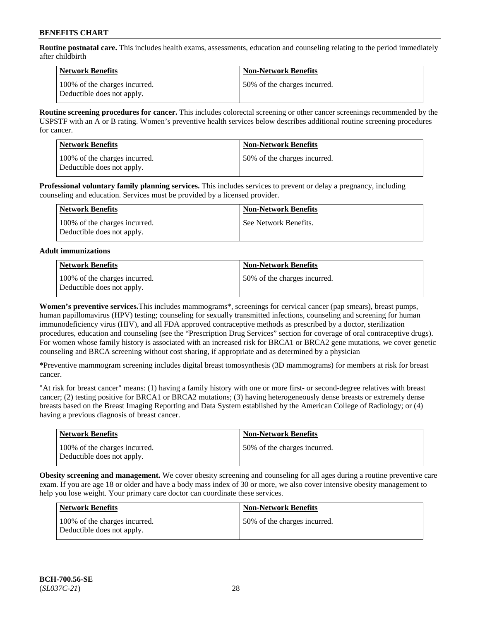**Routine postnatal care.** This includes health exams, assessments, education and counseling relating to the period immediately after childbirth

| Network Benefits                                            | <b>Non-Network Benefits</b>  |
|-------------------------------------------------------------|------------------------------|
| 100% of the charges incurred.<br>Deductible does not apply. | 50% of the charges incurred. |

**Routine screening procedures for cancer.** This includes colorectal screening or other cancer screenings recommended by the USPSTF with an A or B rating. Women's preventive health services below describes additional routine screening procedures for cancer.

| <b>Network Benefits</b>                                     | <b>Non-Network Benefits</b>  |
|-------------------------------------------------------------|------------------------------|
| 100% of the charges incurred.<br>Deductible does not apply. | 50% of the charges incurred. |

**Professional voluntary family planning services.** This includes services to prevent or delay a pregnancy, including counseling and education. Services must be provided by a licensed provider.

| Network Benefits                                            | <b>Non-Network Benefits</b> |
|-------------------------------------------------------------|-----------------------------|
| 100% of the charges incurred.<br>Deductible does not apply. | See Network Benefits.       |

#### **Adult immunizations**

| Network Benefits                                            | <b>Non-Network Benefits</b>  |
|-------------------------------------------------------------|------------------------------|
| 100% of the charges incurred.<br>Deductible does not apply. | 50% of the charges incurred. |

**Women's preventive services.**This includes mammograms\*, screenings for cervical cancer (pap smears), breast pumps, human papillomavirus (HPV) testing; counseling for sexually transmitted infections, counseling and screening for human immunodeficiency virus (HIV), and all FDA approved contraceptive methods as prescribed by a doctor, sterilization procedures, education and counseling (see the "Prescription Drug Services" section for coverage of oral contraceptive drugs). For women whose family history is associated with an increased risk for BRCA1 or BRCA2 gene mutations, we cover genetic counseling and BRCA screening without cost sharing, if appropriate and as determined by a physician

**\***Preventive mammogram screening includes digital breast tomosynthesis (3D mammograms) for members at risk for breast cancer.

"At risk for breast cancer" means: (1) having a family history with one or more first- or second-degree relatives with breast cancer; (2) testing positive for BRCA1 or BRCA2 mutations; (3) having heterogeneously dense breasts or extremely dense breasts based on the Breast Imaging Reporting and Data System established by the American College of Radiology; or (4) having a previous diagnosis of breast cancer.

| <b>Network Benefits</b>                                     | <b>Non-Network Benefits</b>  |
|-------------------------------------------------------------|------------------------------|
| 100% of the charges incurred.<br>Deductible does not apply. | 50% of the charges incurred. |

**Obesity screening and management.** We cover obesity screening and counseling for all ages during a routine preventive care exam. If you are age 18 or older and have a body mass index of 30 or more, we also cover intensive obesity management to help you lose weight. Your primary care doctor can coordinate these services.

| <b>Network Benefits</b>                                     | <b>Non-Network Benefits</b>  |
|-------------------------------------------------------------|------------------------------|
| 100% of the charges incurred.<br>Deductible does not apply. | 50% of the charges incurred. |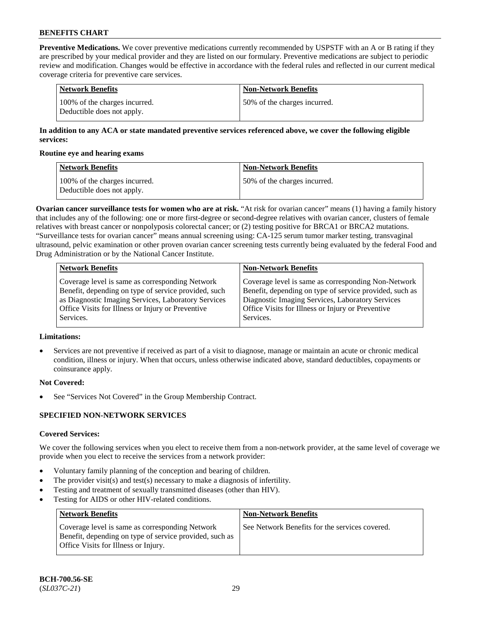**Preventive Medications.** We cover preventive medications currently recommended by USPSTF with an A or B rating if they are prescribed by your medical provider and they are listed on our formulary. Preventive medications are subject to periodic review and modification. Changes would be effective in accordance with the federal rules and reflected in our current medical coverage criteria for preventive care services.

| Network Benefits                                            | <b>Non-Network Benefits</b>  |
|-------------------------------------------------------------|------------------------------|
| 100% of the charges incurred.<br>Deductible does not apply. | 50% of the charges incurred. |

### **In addition to any ACA or state mandated preventive services referenced above, we cover the following eligible services:**

#### **Routine eye and hearing exams**

| <b>Network Benefits</b>                                     | <b>Non-Network Benefits</b>  |
|-------------------------------------------------------------|------------------------------|
| 100% of the charges incurred.<br>Deductible does not apply. | 50% of the charges incurred. |

**Ovarian cancer surveillance tests for women who are at risk.** "At risk for ovarian cancer" means (1) having a family history that includes any of the following: one or more first-degree or second-degree relatives with ovarian cancer, clusters of female relatives with breast cancer or nonpolyposis colorectal cancer; or (2) testing positive for BRCA1 or BRCA2 mutations. "Surveillance tests for ovarian cancer" means annual screening using: CA-125 serum tumor marker testing, transvaginal ultrasound, pelvic examination or other proven ovarian cancer screening tests currently being evaluated by the federal Food and Drug Administration or by the National Cancer Institute.

| <b>Network Benefits</b>                              | <b>Non-Network Benefits</b>                             |
|------------------------------------------------------|---------------------------------------------------------|
| Coverage level is same as corresponding Network      | Coverage level is same as corresponding Non-Network     |
| Benefit, depending on type of service provided, such | Benefit, depending on type of service provided, such as |
| as Diagnostic Imaging Services, Laboratory Services  | Diagnostic Imaging Services, Laboratory Services        |
| Office Visits for Illness or Injury or Preventive    | Office Visits for Illness or Injury or Preventive       |
| Services.                                            | Services.                                               |

### **Limitations:**

• Services are not preventive if received as part of a visit to diagnose, manage or maintain an acute or chronic medical condition, illness or injury. When that occurs, unless otherwise indicated above, standard deductibles, copayments or coinsurance apply.

### **Not Covered:**

See "Services Not Covered" in the Group Membership Contract.

### **SPECIFIED NON-NETWORK SERVICES**

### **Covered Services:**

We cover the following services when you elect to receive them from a non-network provider, at the same level of coverage we provide when you elect to receive the services from a network provider:

- Voluntary family planning of the conception and bearing of children.
- The provider visit(s) and test(s) necessary to make a diagnosis of infertility.
- Testing and treatment of sexually transmitted diseases (other than HIV).
- Testing for AIDS or other HIV-related conditions.

| <b>Network Benefits</b>                                                                                                                            | <b>Non-Network Benefits</b>                    |
|----------------------------------------------------------------------------------------------------------------------------------------------------|------------------------------------------------|
| Coverage level is same as corresponding Network<br>Benefit, depending on type of service provided, such as<br>Office Visits for Illness or Injury. | See Network Benefits for the services covered. |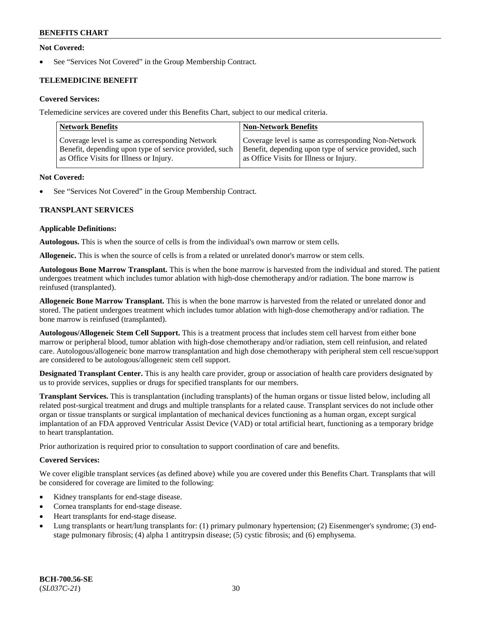### **Not Covered:**

See "Services Not Covered" in the Group Membership Contract.

## **TELEMEDICINE BENEFIT**

### **Covered Services:**

Telemedicine services are covered under this Benefits Chart, subject to our medical criteria.

| <b>Network Benefits</b>                                | <b>Non-Network Benefits</b>                            |
|--------------------------------------------------------|--------------------------------------------------------|
| Coverage level is same as corresponding Network        | Coverage level is same as corresponding Non-Network    |
| Benefit, depending upon type of service provided, such | Benefit, depending upon type of service provided, such |
| as Office Visits for Illness or Injury.                | as Office Visits for Illness or Injury.                |

#### **Not Covered:**

See "Services Not Covered" in the Group Membership Contract.

### **TRANSPLANT SERVICES**

#### **Applicable Definitions:**

**Autologous.** This is when the source of cells is from the individual's own marrow or stem cells.

**Allogeneic.** This is when the source of cells is from a related or unrelated donor's marrow or stem cells.

**Autologous Bone Marrow Transplant.** This is when the bone marrow is harvested from the individual and stored. The patient undergoes treatment which includes tumor ablation with high-dose chemotherapy and/or radiation. The bone marrow is reinfused (transplanted).

**Allogeneic Bone Marrow Transplant.** This is when the bone marrow is harvested from the related or unrelated donor and stored. The patient undergoes treatment which includes tumor ablation with high-dose chemotherapy and/or radiation. The bone marrow is reinfused (transplanted).

**Autologous/Allogeneic Stem Cell Support.** This is a treatment process that includes stem cell harvest from either bone marrow or peripheral blood, tumor ablation with high-dose chemotherapy and/or radiation, stem cell reinfusion, and related care. Autologous/allogeneic bone marrow transplantation and high dose chemotherapy with peripheral stem cell rescue/support are considered to be autologous/allogeneic stem cell support.

**Designated Transplant Center.** This is any health care provider, group or association of health care providers designated by us to provide services, supplies or drugs for specified transplants for our members.

**Transplant Services.** This is transplantation (including transplants) of the human organs or tissue listed below, including all related post-surgical treatment and drugs and multiple transplants for a related cause. Transplant services do not include other organ or tissue transplants or surgical implantation of mechanical devices functioning as a human organ, except surgical implantation of an FDA approved Ventricular Assist Device (VAD) or total artificial heart, functioning as a temporary bridge to heart transplantation.

Prior authorization is required prior to consultation to support coordination of care and benefits.

### **Covered Services:**

We cover eligible transplant services (as defined above) while you are covered under this Benefits Chart. Transplants that will be considered for coverage are limited to the following:

- Kidney transplants for end-stage disease.
- Cornea transplants for end-stage disease.
- Heart transplants for end-stage disease.
- Lung transplants or heart/lung transplants for: (1) primary pulmonary hypertension; (2) Eisenmenger's syndrome; (3) endstage pulmonary fibrosis; (4) alpha 1 antitrypsin disease; (5) cystic fibrosis; and (6) emphysema.